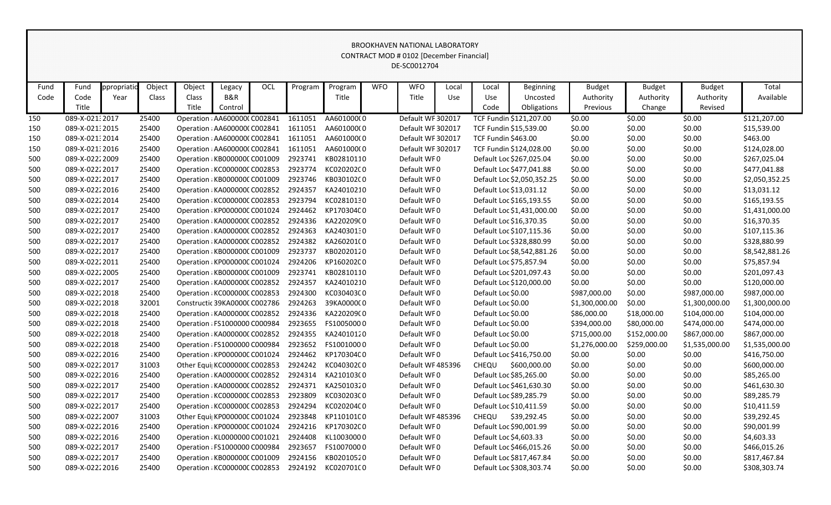|      |                 |             |        |                                       |         |     |         |            |            | CONTRACT MOD # 0102 [December Financial] |       |                     |                            |                |               |                |                |
|------|-----------------|-------------|--------|---------------------------------------|---------|-----|---------|------------|------------|------------------------------------------|-------|---------------------|----------------------------|----------------|---------------|----------------|----------------|
|      |                 |             |        |                                       |         |     |         |            |            | DE-SC0012704                             |       |                     |                            |                |               |                |                |
|      |                 |             |        |                                       |         |     |         |            |            |                                          |       |                     |                            |                |               |                |                |
| Fund | Fund            | ppropriatic | Object | Object                                | Legacy  | OCL | Program | Program    | <b>WFO</b> | <b>WFO</b>                               | Local | Local               | <b>Beginning</b>           | <b>Budget</b>  | <b>Budget</b> | <b>Budget</b>  | Total          |
| Code | Code            | Year        | Class  | Class                                 | B&R     |     |         | Title      |            | Title                                    | Use   | Use                 | Uncosted                   | Authority      | Authority     | Authority      | Available      |
|      | Title           |             |        | Title                                 | Control |     |         |            |            |                                          |       | Code                | Obligations                | Previous       | Change        | Revised        |                |
| 150  | 089-X-021:2017  |             | 25400  | Operation : AA600000(C002841          |         |     | 1611051 | AA601000(0 |            | Default WF 302017                        |       |                     | TCF Fundin \$121,207.00    | \$0.00         | \$0.00        | \$0.00         | \$121,207.00   |
| 150  | 089-X-021:2015  |             | 25400  | Operation : AA6000000 C002841         |         |     | 1611051 | AA601000(0 |            | Default WF 302017                        |       |                     | TCF Fundin \$15,539.00     | \$0.00         | \$0.00        | \$0.00         | \$15,539.00    |
| 150  | 089-X-021:2014  |             | 25400  | Operation : AA6000000 C002841         |         |     | 1611051 | AA601000(0 |            | Default WF 302017                        |       | TCF Fundin \$463.00 |                            | \$0.00         | \$0.00        | \$0.00         | \$463.00       |
| 150  | 089-X-021:2016  |             | 25400  | Operation : AA600000(C002841          |         |     | 1611051 | AA601000(0 |            | Default WF 302017                        |       |                     | TCF Fundin \$124,028.00    | \$0.00         | \$0.00        | \$0.00         | \$124,028.00   |
| 500  | 089-X-02222009  |             | 25400  | Operation : KB000000C C001009         |         |     | 2923741 | KB02810110 |            | Default WF0                              |       |                     | Default Loc \$267,025.04   | \$0.00         | \$0.00        | \$0.00         | \$267,025.04   |
| 500  | 089-X-0222 2017 |             | 25400  | Operation : KC000000C C002853         |         |     | 2923774 | KC02020200 |            | Default WF0                              |       |                     | Default Loc \$477,041.88   | \$0.00         | \$0.00        | \$0.00         | \$477,041.88   |
| 500  | 089-X-02222017  |             | 25400  | Operation : KB000000C C001009         |         |     | 2923746 | KB030102C0 |            | Default WF0                              |       |                     | Default Loc \$2,050,352.25 | \$0.00         | \$0.00        | \$0.00         | \$2,050,352.25 |
| 500  | 089-X-02222016  |             | 25400  | Operation : KA0000000 C002852         |         |     | 2924357 | KA24010210 |            | Default WF0                              |       |                     | Default Loc \$13,031.12    | \$0.00         | \$0.00        | \$0.00         | \$13,031.12    |
| 500  | 089-X-0222 2014 |             | 25400  | Operation : KC000000C C002853         |         |     | 2923794 | KC02810130 |            | Default WF0                              |       |                     | Default Loc \$165,193.55   | \$0.00         | \$0.00        | \$0.00         | \$165,193.55   |
| 500  | 089-X-02222017  |             | 25400  | Operation : KP000000C C001024         |         |     | 2924462 | KP170304C0 |            | Default WF0                              |       |                     | Default Loc \$1,431,000.00 | \$0.00         | \$0.00        | \$0.00         | \$1,431,000.00 |
| 500  | 089-X-02222017  |             | 25400  | Operation : KA0000000 C002852         |         |     | 2924336 | KA220209(0 |            | Default WF0                              |       |                     | Default Loc \$16,370.35    | \$0.00         | \$0.00        | \$0.00         | \$16,370.35    |
| 500  | 089-X-02222017  |             | 25400  | Operation : KA000000C C002852         |         |     | 2924363 | KA24030130 |            | Default WF0                              |       |                     | Default Loc \$107,115.36   | \$0.00         | \$0.00        | \$0.00         | \$107,115.36   |
| 500  | 089-X-02222017  |             | 25400  | Operation : KA0000000 C002852         |         |     | 2924382 | KA260201(0 |            | Default WF0                              |       |                     | Default Loc \$328,880.99   | \$0.00         | \$0.00        | \$0.00         | \$328,880.99   |
| 500  | 089-X-02222017  |             | 25400  | Operation : KB000000C C001009         |         |     | 2923737 | KB02020120 |            | Default WF0                              |       |                     | Default Loc \$8,542,881.26 | \$0.00         | \$0.00        | \$0.00         | \$8,542,881.26 |
| 500  | 089-X-02222011  |             | 25400  | Operation : KP000000C C001024         |         |     | 2924206 | KP160202C0 |            | Default WF0                              |       |                     | Default Loc \$75,857.94    | \$0.00         | \$0.00        | \$0.00         | \$75,857.94    |
| 500  | 089-X-02222005  |             | 25400  | Operation : KB000000C C001009         |         |     | 2923741 | KB02810110 |            | Default WF0                              |       |                     | Default Loc \$201,097.43   | \$0.00         | \$0.00        | \$0.00         | \$201,097.43   |
| 500  | 089-X-02222017  |             | 25400  | Operation : KA0000000 C002852         |         |     | 2924357 | KA24010210 |            | Default WF0                              |       |                     | Default Loc \$120,000.00   | \$0.00         | \$0.00        | \$0.00         | \$120,000.00   |
| 500  | 089-X-02222018  |             | 25400  | Operation : KC000000C C002853         |         |     | 2924300 | KC030403C0 |            | Default WF0                              |       | Default Loc \$0.00  |                            | \$987,000.00   | \$0.00        | \$987,000.00   | \$987,000.00   |
| 500  | 089-X-02222018  |             | 32001  | Constructic 39KA0000C C002786         |         |     | 2924263 | 39KA000000 |            | Default WF0                              |       | Default Loc \$0.00  |                            | \$1,300,000.00 | \$0.00        | \$1,300,000.00 | \$1,300,000.00 |
| 500  | 089-X-02222018  |             | 25400  | Operation : KA0000000 C002852         |         |     | 2924336 | KA220209(0 |            | Default WF0                              |       | Default Loc \$0.00  |                            | \$86,000.00    | \$18,000.00   | \$104,000.00   | \$104,000.00   |
| 500  | 089-X-02222018  |             | 25400  | Operation : FS1000000 C000984         |         |     | 2923655 | FS10050000 |            | Default WF0                              |       | Default Loc \$0.00  |                            | \$394,000.00   | \$80,000.00   | \$474,000.00   | \$474,000.00   |
| 500  | 089-X-02222018  |             | 25400  | Operation : KA0000000 C002852         |         |     | 2924355 | KA24010120 |            | Default WF0                              |       | Default Loc \$0.00  |                            | \$715,000.00   | \$152,000.00  | \$867,000.00   | \$867,000.00   |
| 500  | 089-X-02222018  |             | 25400  | Operation : FS1000000 C000984         |         |     | 2923652 | FS10010000 |            | Default WF0                              |       | Default Loc \$0.00  |                            | \$1,276,000.00 | \$259,000.00  | \$1,535,000.00 | \$1,535,000.00 |
| 500  | 089-X-0222 2016 |             | 25400  | Operation : KP000000C C001024         |         |     | 2924462 | KP170304C0 |            | Default WF0                              |       |                     | Default Loc \$416,750.00   | \$0.00         | \$0.00        | \$0.00         | \$416,750.00   |
| 500  | 089-X-02222017  |             | 31003  | Other Equi  KC000000C C002853         |         |     | 2924242 | KC040302C0 |            | Default WF485396                         |       | CHEQU               | \$600,000.00               | \$0.00         | \$0.00        | \$0.00         | \$600,000.00   |
| 500  | 089-X-02222016  |             | 25400  | Operation : KA0000000 C002852 2924314 |         |     |         | KA210103(0 |            | Default WF0                              |       |                     | Default Loc \$85,265.00    | \$0.00         | \$0.00        | \$0.00         | \$85,265.00    |
| 500  | 089-X-02222017  |             | 25400  | Operation: KA000000C C002852          |         |     | 2924371 | KA25010320 |            | Default WF0                              |       |                     | Default Loc \$461,630.30   | \$0.00         | \$0.00        | \$0.00         | \$461,630.30   |
| 500  | 089-X-02222017  |             | 25400  | Operation : KC000000C C002853         |         |     | 2923809 | KC030203C0 |            | Default WF0                              |       |                     | Default Loc \$89,285.79    | \$0.00         | \$0.00        | \$0.00         | \$89,285.79    |
| 500  | 089-X-02222017  |             | 25400  | Operation : KC000000C C002853         |         |     | 2924294 | KC020204C0 |            | Default WF0                              |       |                     | Default Loc \$10,411.59    | \$0.00         | \$0.00        | \$0.00         | \$10,411.59    |
| 500  | 089-X-0222 2007 |             | 31003  | Other Equi  KP000000C C001024         |         |     | 2923848 | KP110101C0 |            | Default WF 485396                        |       | CHEQU               | \$39,292.45                | \$0.00         | \$0.00        | \$0.00         | \$39,292.45    |
| 500  | 089-X-02222016  |             | 25400  | Operation : KP000000C C001024         |         |     | 2924216 | KP170302C0 |            | Default WF0                              |       |                     | Default Loc \$90,001.99    | \$0.00         | \$0.00        | \$0.00         | \$90,001.99    |
| 500  | 089-X-02222016  |             | 25400  | Operation : KL0000000 C001021         |         |     | 2924408 | KL10030000 |            | Default WF0                              |       |                     | Default Loc \$4,603.33     | \$0.00         | \$0.00        | \$0.00         | \$4,603.33     |
| 500  | 089-X-02222017  |             | 25400  | Operation : FS1000000 C000984         |         |     | 2923657 | FS10070000 |            | Default WF0                              |       |                     | Default Loc \$466,015.26   | \$0.00         | \$0.00        | \$0.00         | \$466,015.26   |
| 500  | 089-X-02222017  |             | 25400  | Operation : KB000000C C001009         |         |     | 2924156 | KB02010520 |            | Default WF0                              |       |                     | Default Loc \$817,467.84   | \$0.00         | \$0.00        | \$0.00         | \$817,467.84   |
| 500  | 089-X-02222016  |             | 25400  | Operation : KC000000C C002853         |         |     | 2924192 | KC020701C0 |            | Default WF0                              |       |                     | Default Loc \$308,303.74   | \$0.00         | \$0.00        | \$0.00         | \$308,303.74   |
|      |                 |             |        |                                       |         |     |         |            |            |                                          |       |                     |                            |                |               |                |                |

BROOKHAVEN NATIONAL LABORATORY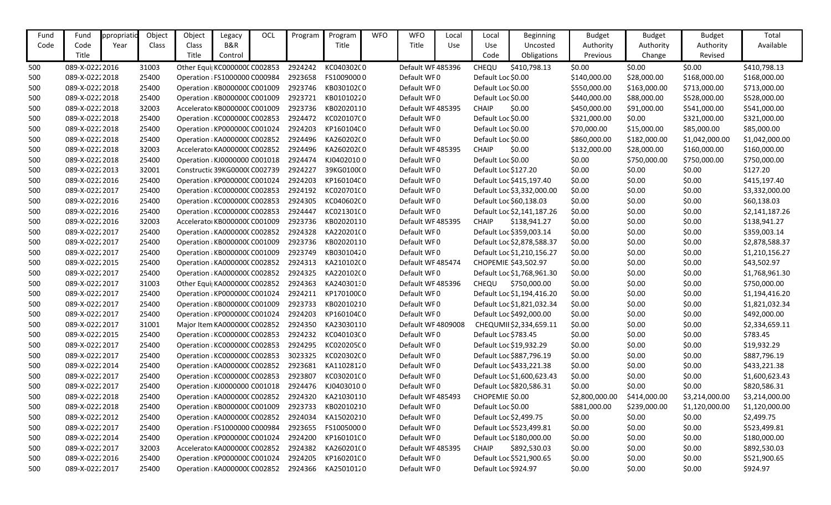| Fund | Fund           | ppropriati | Object | Object                               | Legacy  | OCL | Program | Program    | <b>WFO</b> | <b>WFO</b>         | Local      | Local                | <b>Beginning</b>           | <b>Budget</b>  | <b>Budget</b> | <b>Budget</b>  | Total          |
|------|----------------|------------|--------|--------------------------------------|---------|-----|---------|------------|------------|--------------------|------------|----------------------|----------------------------|----------------|---------------|----------------|----------------|
| Code | Code           | Year       | Class  | Class                                | B&R     |     |         | Title      |            | Title              | <b>Use</b> | Use                  | Uncosted                   | Authority      | Authority     | Authority      | Available      |
|      | Title          |            |        | Title                                | Control |     |         |            |            |                    |            | Code                 | Obligations                | Previous       | Change        | Revised        |                |
| 500  | 089-X-02222016 |            | 31003  | Other Equi KC000000C C002853         |         |     | 2924242 | KC040302C0 |            | Default WF 485396  |            | CHEQU                | \$410,798.13               | \$0.00         | \$0.00        | \$0.00         | \$410,798.13   |
| 500  | 089-X-02222018 |            | 25400  | Operation : FS1000000 C000984        |         |     | 2923658 | FS10090000 |            | Default WF0        |            | Default Loc \$0.00   |                            | \$140,000.00   | \$28,000.00   | \$168,000.00   | \$168,000.00   |
| 500  | 089-X-02222018 |            | 25400  | Operation : KB000000C C001009        |         |     | 2923746 | KB030102C0 |            | Default WF0        |            | Default Loc \$0.00   |                            | \$550,000.00   | \$163,000.00  | \$713,000.00   | \$713,000.00   |
| 500  | 089-X-02222018 |            | 25400  | Operation : KB000000C C001009        |         |     | 2923721 | KB01010220 |            | Default WF0        |            | Default Loc \$0.00   |                            | \$440,000.00   | \$88,000.00   | \$528,000.00   | \$528,000.00   |
| 500  | 089-X-02222018 |            | 32003  | Accelerator KB000000C C001009        |         |     | 2923736 | KB02020110 |            | Default WF 485395  |            | <b>CHAIP</b>         | \$0.00                     | \$450,000.00   | \$91,000.00   | \$541,000.00   | \$541,000.00   |
| 500  | 089-X-02222018 |            | 25400  | Operation : KC000000C C002853        |         |     | 2924472 | KC020107C0 |            | Default WF0        |            | Default Loc \$0.00   |                            | \$321,000.00   | \$0.00        | \$321,000.00   | \$321,000.00   |
| 500  | 089-X-02222018 |            | 25400  | Operation : KP000000C C001024        |         |     | 2924203 | KP160104C0 |            | Default WF0        |            | Default Loc \$0.00   |                            | \$70,000.00    | \$15,000.00   | \$85,000.00    | \$85,000.00    |
| 500  | 089-X-02222018 |            | 25400  | Operation : KA0000000 C002852        |         |     | 2924496 | KA26020200 |            | Default WF0        |            | Default Loc \$0.00   |                            | \$860,000.00   | \$182,000.00  | \$1,042,000.00 | \$1,042,000.00 |
| 500  | 089-X-02222018 |            | 32003  | Accelerator KA000000C C002852        |         |     | 2924496 | KA26020200 |            | Default WF485395   |            | <b>CHAIP</b>         | \$0.00                     | \$132,000.00   | \$28,000.00   | \$160,000.00   | \$160,000.00   |
| 500  | 089-X-02222018 |            | 25400  | Operation : KJ0000000 C001018        |         |     | 2924474 | KJ04020100 |            | Default WF0        |            | Default Loc \$0.00   |                            | \$0.00         | \$750,000.00  | \$750,000.00   | \$750,000.00   |
| 500  | 089-X-02222013 |            | 32001  | Constructic 39KG0000(C002739         |         |     | 2924227 | 39KG0100(0 |            | Default WF0        |            | Default Loc \$127.20 |                            | \$0.00         | \$0.00        | \$0.00         | \$127.20       |
| 500  | 089-X-02222016 |            | 25400  | Operation : KP000000C C001024        |         |     | 2924203 | KP160104C0 |            | Default WF0        |            |                      | Default Loc \$415,197.40   | \$0.00         | \$0.00        | \$0.00         | \$415,197.40   |
| 500  | 089-X-02222017 |            | 25400  | Operation : KC000000C C002853        |         |     | 2924192 | KC02070100 |            | Default WF0        |            |                      | Default Loc \$3,332,000.00 | \$0.00         | \$0.00        | \$0.00         | \$3,332,000.00 |
| 500  | 089-X-02222016 |            | 25400  | Operation : KC000000C C002853        |         |     | 2924305 | KC04060200 |            | Default WF0        |            |                      | Default Loc \$60,138.03    | \$0.00         | \$0.00        | \$0.00         | \$60,138.03    |
| 500  | 089-X-02222016 |            | 25400  | Operation : KC000000C C002853        |         |     | 2924447 | KC021301C0 |            | Default WF0        |            |                      | Default Loc \$2,141,187.26 | \$0.00         | \$0.00        | \$0.00         | \$2,141,187.26 |
| 500  | 089-X-02222016 |            | 32003  | Accelerator KB000000C C001009        |         |     | 2923736 | KB02020110 |            | Default WF 485395  |            | <b>CHAIP</b>         | \$138,941.27               | \$0.00         | \$0.00        | \$0.00         | \$138,941.27   |
| 500  | 089-X-02222017 |            | 25400  | Operation : KA0000000 C002852        |         |     | 2924328 | KA220201(0 |            | Default WF0        |            |                      | Default Loc \$359,003.14   | \$0.00         | \$0.00        | \$0.00         | \$359,003.14   |
| 500  | 089-X-02222017 |            | 25400  | Operation : KB000000C C001009        |         |     | 2923736 | KB02020110 |            | Default WF0        |            |                      | Default Loc \$2,878,588.37 | \$0.00         | \$0.00        | \$0.00         | \$2,878,588.37 |
| 500  | 089-X-02222017 |            | 25400  | Operation : KB000000C C001009        |         |     | 2923749 | KB03010420 |            | Default WF0        |            |                      | Default Loc \$1,210,156.27 | \$0.00         | \$0.00        | \$0.00         | \$1,210,156.27 |
| 500  | 089-X-02222015 |            | 25400  | Operation : KA0000000 C002852        |         |     | 2924313 | KA210102(0 |            | Default WF 485474  |            |                      | CHOPEMIE \$43,502.97       | \$0.00         | \$0.00        | \$0.00         | \$43,502.97    |
| 500  | 089-X-02222017 |            | 25400  | Operation : KA0000000 C002852        |         |     | 2924325 | KA220102(0 |            | Default WF0        |            |                      | Default Loc \$1,768,961.30 | \$0.00         | \$0.00        | \$0.00         | \$1,768,961.30 |
| 500  | 089-X-02222017 |            | 31003  | Other Equi  KA000000C C002852        |         |     | 2924363 | KA24030130 |            | Default WF 485396  |            | <b>CHEQU</b>         | \$750,000.00               | \$0.00         | \$0.00        | \$0.00         | \$750,000.00   |
| 500  | 089-X-02222017 |            | 25400  | Operation : KP000000C C001024        |         |     | 2924211 | KP17010000 |            | Default WF0        |            |                      | Default Loc \$1,194,416.20 | \$0.00         | \$0.00        | \$0.00         | \$1,194,416.20 |
| 500  | 089-X-02222017 |            | 25400  | Operation : KB000000C C001009        |         |     | 2923733 | KB02010210 |            | Default WF0        |            |                      | Default Loc \$1,821,032.34 | \$0.00         | \$0.00        | \$0.00         | \$1,821,032.34 |
| 500  | 089-X-02222017 |            | 25400  | Operation : KP000000C C001024        |         |     | 2924203 | KP160104C0 |            | Default WF0        |            |                      | Default Loc \$492,000.00   | \$0.00         | \$0.00        | \$0.00         | \$492,000.00   |
| 500  | 089-X-02222017 |            | 31001  | Major Item KA0000000 C002852         |         |     | 2924350 | KA23030110 |            | Default WF 4809008 |            |                      | CHEQUMII \$2,334,659.11    | \$0.00         | \$0.00        | \$0.00         | \$2,334,659.11 |
| 500  | 089-X-02222015 |            | 25400  | Operation : KC000000C C002853        |         |     | 2924232 | KC040103C0 |            | Default WF0        |            | Default Loc \$783.45 |                            | \$0.00         | \$0.00        | \$0.00         | \$783.45       |
| 500  | 089-X-02222017 |            | 25400  | Operation : KC000000C C002853        |         |     | 2924295 | KC020205C0 |            | Default WF0        |            |                      | Default Loc \$19,932.29    | \$0.00         | \$0.00        | \$0.00         | \$19,932.29    |
| 500  | 089-X-02222017 |            | 25400  | Operation : KC000000C C002853        |         |     | 3023325 | KC020302C0 |            | Default WF0        |            |                      | Default Loc \$887,796.19   | \$0.00         | \$0.00        | \$0.00         | \$887,796.19   |
| 500  | 089-X-02222014 |            | 25400  | Operation : KA0000000 C002852        |         |     | 2923681 | KA11028120 |            | Default WF0        |            |                      | Default Loc \$433,221.38   | \$0.00         | \$0.00        | \$0.00         | \$433,221.38   |
| 500  | 089-X-02222017 |            | 25400  | Operation : KC000000C C002853        |         |     | 2923807 | KC030201C0 |            | Default WF0        |            |                      | Default Loc \$1,600,623.43 | \$0.00         | \$0.00        | \$0.00         | \$1,600,623.43 |
| 500  | 089-X-02222017 |            | 25400  | Operation : KJ0000000 C001018        |         |     | 2924476 | KJ04030100 |            | Default WF0        |            |                      | Default Loc \$820,586.31   | \$0.00         | \$0.00        | \$0.00         | \$820,586.31   |
| 500  | 089-X-02222018 |            | 25400  | Operation : KA000000C C002852        |         |     | 2924320 | KA21030110 |            | Default WF 485493  |            | CHOPEMIE \$0.00      |                            | \$2,800,000.00 | \$414,000.00  | \$3,214,000.00 | \$3,214,000.00 |
| 500  | 089-X-02222018 |            | 25400  | Operation : KB000000C C001009        |         |     | 2923733 | KB02010210 |            | Default WF0        |            | Default Loc \$0.00   |                            | \$881,000.00   | \$239,000.00  | \$1,120,000.00 | \$1,120,000.00 |
| 500  | 089-X-02222012 |            | 25400  | Operation : KA0000000 C002852        |         |     | 2924034 | KA15020210 |            | Default WF0        |            |                      | Default Loc \$2,499.75     | \$0.00         | \$0.00        | \$0.00         | \$2,499.75     |
| 500  | 089-X-02222017 |            | 25400  | Operation : FS1000000 C000984        |         |     | 2923655 | FS10050000 |            | Default WF0        |            |                      | Default Loc \$523,499.81   | \$0.00         | \$0.00        | \$0.00         | \$523,499.81   |
| 500  | 089-X-02222014 |            | 25400  | Operation : KP000000C C001024        |         |     | 2924200 | KP160101C0 |            | Default WF0        |            |                      | Default Loc \$180,000.00   | \$0.00         | \$0.00        | \$0.00         | \$180,000.00   |
| 500  | 089-X-02222017 |            | 32003  | Accelerator KA0000000 C002852        |         |     | 2924382 | KA260201(0 |            | Default WF 485395  |            | <b>CHAIP</b>         | \$892,530.03               | \$0.00         | \$0.00        | \$0.00         | \$892,530.03   |
| 500  | 089-X-02222016 |            | 25400  | Operation : KP000000C C001024        |         |     | 2924205 | KP16020100 |            | Default WF0        |            |                      | Default Loc \$521,900.65   | \$0.00         | \$0.00        | \$0.00         | \$521,900.65   |
| 500  | 089-X-02222017 |            | 25400  | Operation: KA0000000 C002852 2924366 |         |     |         | KA25010120 |            | Default WF0        |            | Default Loc \$924.97 |                            | \$0.00         | \$0.00        | \$0.00         | \$924.97       |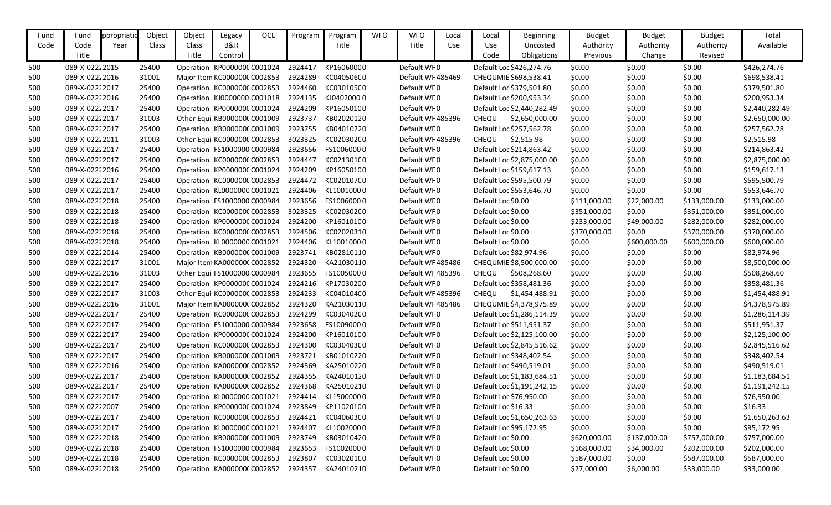| Fund | Fund           | ppropriati | Object | Object | Legacy                        | OCL | Program | Program            | <b>WFO</b> | <b>WFO</b>        | Local      | Local               | <b>Beginning</b>           | <b>Budget</b> | <b>Budget</b> | <b>Budget</b> | Total          |
|------|----------------|------------|--------|--------|-------------------------------|-----|---------|--------------------|------------|-------------------|------------|---------------------|----------------------------|---------------|---------------|---------------|----------------|
| Code | Code           | Year       | Class  | Class  | B&R                           |     |         | Title              |            | Title             | <b>Use</b> | Use                 | Uncosted                   | Authority     | Authority     | Authority     | Available      |
|      | Title          |            |        | Title  | Control                       |     |         |                    |            |                   |            | Code                | Obligations                | Previous      | Change        | Revised       |                |
| 500  | 089-X-02222015 |            | 25400  |        | Operation : KP000000C C001024 |     | 2924417 | KP160600C0         |            | Default WF0       |            |                     | Default Loc \$426,274.76   | \$0.00        | \$0.00        | \$0.00        | \$426,274.76   |
| 500  | 089-X-02222016 |            | 31001  |        | Major Item KC000000C C002853  |     | 2924289 | KC040506C0         |            | Default WF 485469 |            |                     | CHEQUMIE \$698,538.41      | \$0.00        | \$0.00        | \$0.00        | \$698,538.41   |
| 500  | 089-X-02222017 |            | 25400  |        | Operation : KC000000C C002853 |     | 2924460 | KC030105C0         |            | Default WF0       |            |                     | Default Loc \$379,501.80   | \$0.00        | \$0.00        | \$0.00        | \$379,501.80   |
| 500  | 089-X-02222016 |            | 25400  |        | Operation : KJ0000000 C001018 |     | 2924135 | KJ04020000         |            | Default WF0       |            |                     | Default Loc \$200,953.34   | \$0.00        | \$0.00        | \$0.00        | \$200,953.34   |
| 500  | 089-X-02222017 |            | 25400  |        | Operation : KP000000C C001024 |     | 2924209 | KP160501C0         |            | Default WF0       |            |                     | Default Loc \$2,440,282.49 | \$0.00        | \$0.00        | \$0.00        | \$2,440,282.49 |
| 500  | 089-X-02222017 |            | 31003  |        | Other Equi  KB000000C C001009 |     | 2923737 | KB02020120         |            | Default WF 485396 |            | CHEQU               | \$2,650,000.00             | \$0.00        | \$0.00        | \$0.00        | \$2,650,000.00 |
| 500  | 089-X-02222017 |            | 25400  |        | Operation : KB000000C C001009 |     | 2923755 | KB04010220         |            | Default WF0       |            |                     | Default Loc \$257,562.78   | \$0.00        | \$0.00        | \$0.00        | \$257,562.78   |
| 500  | 089-X-02222011 |            | 31003  |        | Other Equi  KC000000C C002853 |     | 3023325 | KC020302C0         |            | Default WF 485396 |            | CHEQU               | \$2,515.98                 | \$0.00        | \$0.00        | \$0.00        | \$2,515.98     |
| 500  | 089-X-02222017 |            | 25400  |        | Operation : FS1000000 C000984 |     | 2923656 | FS10060000         |            | Default WF0       |            |                     | Default Loc \$214,863.42   | \$0.00        | \$0.00        | \$0.00        | \$214,863.42   |
| 500  | 089-X-02222017 |            | 25400  |        | Operation : KC000000C C002853 |     | 2924447 | KC021301C0         |            | Default WF0       |            |                     | Default Loc \$2,875,000.00 | \$0.00        | \$0.00        | \$0.00        | \$2,875,000.00 |
| 500  | 089-X-02222016 |            | 25400  |        | Operation : KP000000C C001024 |     | 2924209 | KP160501C0         |            | Default WF0       |            |                     | Default Loc \$159,617.13   | \$0.00        | \$0.00        | \$0.00        | \$159,617.13   |
| 500  | 089-X-02222017 |            | 25400  |        | Operation : KC000000C C002853 |     | 2924472 | KC020107C0         |            | Default WF0       |            |                     | Default Loc \$595,500.79   | \$0.00        | \$0.00        | \$0.00        | \$595,500.79   |
| 500  | 089-X-02222017 |            | 25400  |        | Operation : KL0000000 C001021 |     | 2924406 | KL10010000         |            | Default WF0       |            |                     | Default Loc \$553,646.70   | \$0.00        | \$0.00        | \$0.00        | \$553,646.70   |
| 500  | 089-X-02222018 |            | 25400  |        | Operation : FS1000000 C000984 |     | 2923656 | FS10060000         |            | Default WF0       |            | Default Loc \$0.00  |                            | \$111,000.00  | \$22,000.00   | \$133,000.00  | \$133,000.00   |
| 500  | 089-X-02222018 |            | 25400  |        | Operation : KC000000C C002853 |     | 3023325 | KC020302C0         |            | Default WF0       |            | Default Loc \$0.00  |                            | \$351,000.00  | \$0.00        | \$351,000.00  | \$351,000.00   |
| 500  | 089-X-02222018 |            | 25400  |        | Operation : KP000000C C001024 |     | 2924200 | KP160101C0         |            | Default WF0       |            | Default Loc \$0.00  |                            | \$233,000.00  | \$49,000.00   | \$282,000.00  | \$282,000.00   |
| 500  | 089-X-02222018 |            | 25400  |        | Operation : KC000000C C002853 |     | 2924506 | KC02020310         |            | Default WF0       |            | Default Loc \$0.00  |                            | \$370,000.00  | \$0.00        | \$370,000.00  | \$370,000.00   |
| 500  | 089-X-02222018 |            | 25400  |        | Operation : KL0000000 C001021 |     | 2924406 | KL10010000         |            | Default WF0       |            | Default Loc \$0.00  |                            | \$0.00        | \$600,000.00  | \$600,000.00  | \$600,000.00   |
| 500  | 089-X-02222014 |            | 25400  |        | Operation : KB000000C C001009 |     | 2923741 | KB02810110         |            | Default WF0       |            |                     | Default Loc \$82,974.96    | \$0.00        | \$0.00        | \$0.00        | \$82,974.96    |
| 500  | 089-X-02222017 |            | 31001  |        | Major Item KA0000000 C002852  |     | 2924320 | KA21030110         |            | Default WF 485486 |            |                     | CHEQUMIE \$8,500,000.00    | \$0.00        | \$0.00        | \$0.00        | \$8,500,000.00 |
| 500  | 089-X-02222016 |            | 31003  |        | Other Equi  FS1000000 C000984 |     | 2923655 | FS10050000         |            | Default WF 485396 |            | <b>CHEQU</b>        | \$508,268.60               | \$0.00        | \$0.00        | \$0.00        | \$508,268.60   |
| 500  | 089-X-02222017 |            | 25400  |        | Operation : KP000000C C001024 |     | 2924216 | KP170302C0         |            | Default WF0       |            |                     | Default Loc \$358,481.36   | \$0.00        | \$0.00        | \$0.00        | \$358,481.36   |
| 500  | 089-X-02222017 |            | 31003  |        | Other Equi  KC000000C C002853 |     | 2924233 | KC040104C0         |            | Default WF 485396 |            | <b>CHEQU</b>        | \$1,454,488.91             | \$0.00        | \$0.00        | \$0.00        | \$1,454,488.91 |
| 500  | 089-X-02222016 |            | 31001  |        | Major Item KA0000000 C002852  |     | 2924320 | KA21030110         |            | Default WF 485486 |            |                     | CHEQUMIE \$4,378,975.89    | \$0.00        | \$0.00        | \$0.00        | \$4,378,975.89 |
| 500  | 089-X-02222017 |            | 25400  |        | Operation : KC000000C C002853 |     | 2924299 | KC03040200         |            | Default WF0       |            |                     | Default Loc \$1,286,114.39 | \$0.00        | \$0.00        | \$0.00        | \$1,286,114.39 |
| 500  | 089-X-02222017 |            | 25400  |        | Operation : FS1000000 C000984 |     | 2923658 | FS10090000         |            | Default WF0       |            |                     | Default Loc \$511,951.37   | \$0.00        | \$0.00        | \$0.00        | \$511,951.37   |
| 500  | 089-X-02222017 |            | 25400  |        | Operation : KP000000C C001024 |     | 2924200 | KP160101C0         |            | Default WF0       |            |                     | Default Loc \$2,125,100.00 | \$0.00        | \$0.00        | \$0.00        | \$2,125,100.00 |
| 500  | 089-X-02222017 |            | 25400  |        | Operation : KC000000C C002853 |     | 2924300 | KC030403C0         |            | Default WF0       |            |                     | Default Loc \$2,845,516.62 | \$0.00        | \$0.00        | \$0.00        | \$2,845,516.62 |
| 500  | 089-X-02222017 |            | 25400  |        | Operation : KB000000C C001009 |     | 2923721 | KB01010220         |            | Default WF0       |            |                     | Default Loc \$348,402.54   | \$0.00        | \$0.00        | \$0.00        | \$348,402.54   |
| 500  | 089-X-02222016 |            | 25400  |        | Operation : KA0000000 C002852 |     | 2924369 | KA25010220         |            | Default WF0       |            |                     | Default Loc \$490,519.01   | \$0.00        | \$0.00        | \$0.00        | \$490,519.01   |
| 500  | 089-X-02222017 |            | 25400  |        | Operation : KA0000000 C002852 |     |         | 2924355 KA24010120 |            | Default WF0       |            |                     | Default Loc \$1,183,684.51 | \$0.00        | \$0.00        | \$0.00        | \$1,183,684.51 |
| 500  | 089-X-02222017 |            | 25400  |        | Operation : KA0000000 C002852 |     | 2924368 | KA25010210         |            | Default WF0       |            |                     | Default Loc \$1,191,242.15 | \$0.00        | \$0.00        | \$0.00        | \$1,191,242.15 |
| 500  | 089-X-02222017 |            | 25400  |        | Operation : KL0000000 C001021 |     | 2924414 | KL15000000         |            | Default WF0       |            |                     | Default Loc \$76,950.00    | \$0.00        | \$0.00        | \$0.00        | \$76,950.00    |
| 500  | 089-X-02222007 |            | 25400  |        | Operation : KP000000C C001024 |     | 2923849 | KP11020100         |            | Default WF0       |            | Default Loc \$16.33 |                            | \$0.00        | \$0.00        | \$0.00        | \$16.33        |
| 500  | 089-X-02222017 |            | 25400  |        | Operation : KC000000C C002853 |     | 2924421 | KC040603C0         |            | Default WF0       |            |                     | Default Loc \$1,650,263.63 | \$0.00        | \$0.00        | \$0.00        | \$1,650,263.63 |
| 500  | 089-X-02222017 |            | 25400  |        | Operation : KL0000000 C001021 |     | 2924407 | KL10020000         |            | Default WF0       |            |                     | Default Loc \$95,172.95    | \$0.00        | \$0.00        | \$0.00        | \$95,172.95    |
| 500  | 089-X-02222018 |            | 25400  |        | Operation : KB000000C C001009 |     | 2923749 | KB03010420         |            | Default WF0       |            | Default Loc \$0.00  |                            | \$620,000.00  | \$137,000.00  | \$757,000.00  | \$757,000.00   |
| 500  | 089-X-02222018 |            | 25400  |        | Operation : FS1000000 C000984 |     | 2923653 | FS10020000         |            | Default WF0       |            | Default Loc \$0.00  |                            | \$168,000.00  | \$34,000.00   | \$202,000.00  | \$202,000.00   |
| 500  | 089-X-02222018 |            | 25400  |        | Operation : KC000000C C002853 |     | 2923807 | KC03020100         |            | Default WF0       |            | Default Loc \$0.00  |                            | \$587,000.00  | \$0.00        | \$587,000.00  | \$587,000.00   |
| 500  | 089-X-02222018 |            | 25400  |        | Operation : KA0000000 C002852 |     | 2924357 | KA24010210         |            | Default WF0       |            | Default Loc \$0.00  |                            | \$27,000.00   | \$6,000.00    | \$33,000.00   | \$33,000.00    |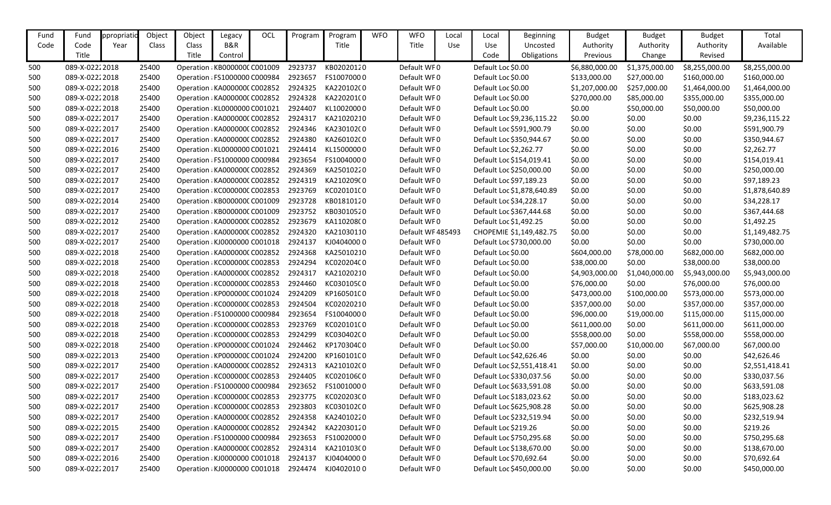| Fund | Fund           | ppropriati | Object | Object | Legacy                        | OCL | Program | Program    | <b>WFO</b> | <b>WFO</b>        | Local      | Local                  | <b>Beginning</b>           | <b>Budget</b>  | <b>Budget</b>  | <b>Budget</b>  | Total          |
|------|----------------|------------|--------|--------|-------------------------------|-----|---------|------------|------------|-------------------|------------|------------------------|----------------------------|----------------|----------------|----------------|----------------|
| Code | Code           | Year       | Class  | Class  | B&R                           |     |         | Title      |            | Title             | <b>Use</b> | Use                    | Uncosted                   | Authority      | Authority      | Authority      | Available      |
|      | Title          |            |        | Title  | Control                       |     |         |            |            |                   |            | Code                   | Obligations                | Previous       | Change         | Revised        |                |
| 500  | 089-X-02222018 |            | 25400  |        | Operation : KB000000C C001009 |     | 2923737 | KB02020120 |            | Default WF0       |            | Default Loc \$0.00     |                            | \$6,880,000.00 | \$1,375,000.00 | \$8,255,000.00 | \$8,255,000.00 |
| 500  | 089-X-02222018 |            | 25400  |        | Operation : FS1000000 C000984 |     | 2923657 | FS10070000 |            | Default WF0       |            | Default Loc \$0.00     |                            | \$133,000.00   | \$27,000.00    | \$160,000.00   | \$160,000.00   |
| 500  | 089-X-02222018 |            | 25400  |        | Operation : KA0000000 C002852 |     | 2924325 | KA220102(0 |            | Default WF0       |            | Default Loc \$0.00     |                            | \$1,207,000.00 | \$257,000.00   | \$1,464,000.00 | \$1,464,000.00 |
| 500  | 089-X-02222018 |            | 25400  |        | Operation : KA0000000 C002852 |     | 2924328 | KA220201(0 |            | Default WF0       |            | Default Loc \$0.00     |                            | \$270,000.00   | \$85,000.00    | \$355,000.00   | \$355,000.00   |
| 500  | 089-X-02222018 |            | 25400  |        | Operation : KL0000000 C001021 |     | 2924407 | KL10020000 |            | Default WF0       |            | Default Loc \$0.00     |                            | \$0.00         | \$50,000.00    | \$50,000.00    | \$50,000.00    |
| 500  | 089-X-02222017 |            | 25400  |        | Operation : KA0000000 C002852 |     | 2924317 | KA21020210 |            | Default WF0       |            |                        | Default Loc \$9,236,115.22 | \$0.00         | \$0.00         | \$0.00         | \$9,236,115.22 |
| 500  | 089-X-02222017 |            | 25400  |        | Operation : KA0000000 C002852 |     | 2924346 | KA230102(0 |            | Default WF0       |            |                        | Default Loc \$591,900.79   | \$0.00         | \$0.00         | \$0.00         | \$591,900.79   |
| 500  | 089-X-02222017 |            | 25400  |        | Operation : KA000000C C002852 |     | 2924380 | KA260102(0 |            | Default WF0       |            |                        | Default Loc \$350,944.67   | \$0.00         | \$0.00         | \$0.00         | \$350,944.67   |
| 500  | 089-X-02222016 |            | 25400  |        | Operation : KL0000000 C001021 |     | 2924414 | KL15000000 |            | Default WF0       |            | Default Loc \$2,262.77 |                            | \$0.00         | \$0.00         | \$0.00         | \$2,262.77     |
| 500  | 089-X-02222017 |            | 25400  |        | Operation : FS1000000 C000984 |     | 2923654 | FS10040000 |            | Default WF0       |            |                        | Default Loc \$154,019.41   | \$0.00         | \$0.00         | \$0.00         | \$154,019.41   |
| 500  | 089-X-02222017 |            | 25400  |        | Operation : KA0000000 C002852 |     | 2924369 | KA25010220 |            | Default WF0       |            |                        | Default Loc \$250,000.00   | \$0.00         | \$0.00         | \$0.00         | \$250,000.00   |
| 500  | 089-X-02222017 |            | 25400  |        | Operation : KA0000000 C002852 |     | 2924319 | KA210209(0 |            | Default WF0       |            |                        | Default Loc \$97,189.23    | \$0.00         | \$0.00         | \$0.00         | \$97,189.23    |
| 500  | 089-X-02222017 |            | 25400  |        | Operation : KC000000C C002853 |     | 2923769 | KC020101C0 |            | Default WF0       |            |                        | Default Loc \$1,878,640.89 | \$0.00         | \$0.00         | \$0.00         | \$1,878,640.89 |
| 500  | 089-X-02222014 |            | 25400  |        | Operation : KB000000C C001009 |     | 2923728 | KB01810120 |            | Default WF0       |            |                        | Default Loc \$34,228.17    | \$0.00         | \$0.00         | \$0.00         | \$34,228.17    |
| 500  | 089-X-02222017 |            | 25400  |        | Operation : KB000000C C001009 |     | 2923752 | KB03010520 |            | Default WF0       |            |                        | Default Loc \$367,444.68   | \$0.00         | \$0.00         | \$0.00         | \$367,444.68   |
| 500  | 089-X-02222012 |            | 25400  |        | Operation : KA0000000 C002852 |     | 2923679 | KA110208(0 |            | Default WF0       |            | Default Loc \$1,492.25 |                            | \$0.00         | \$0.00         | \$0.00         | \$1,492.25     |
| 500  | 089-X-02222017 |            | 25400  |        | Operation : KA0000000 C002852 |     | 2924320 | KA21030110 |            | Default WF 485493 |            |                        | CHOPEMIE \$1,149,482.75    | \$0.00         | \$0.00         | \$0.00         | \$1,149,482.75 |
| 500  | 089-X-02222017 |            | 25400  |        | Operation : KJ0000000 C001018 |     | 2924137 | KJ04040000 |            | Default WF0       |            |                        | Default Loc \$730,000.00   | \$0.00         | \$0.00         | \$0.00         | \$730,000.00   |
| 500  | 089-X-02222018 |            | 25400  |        | Operation : KA0000000 C002852 |     | 2924368 | KA25010210 |            | Default WF0       |            | Default Loc \$0.00     |                            | \$604,000.00   | \$78,000.00    | \$682,000.00   | \$682,000.00   |
| 500  | 089-X-02222018 |            | 25400  |        | Operation : KC000000C C002853 |     | 2924294 | KC020204C0 |            | Default WF0       |            | Default Loc \$0.00     |                            | \$38,000.00    | \$0.00         | \$38,000.00    | \$38,000.00    |
| 500  | 089-X-02222018 |            | 25400  |        | Operation : KA0000000 C002852 |     | 2924317 | KA21020210 |            | Default WF0       |            | Default Loc \$0.00     |                            | \$4,903,000.00 | \$1,040,000.00 | \$5,943,000.00 | \$5,943,000.00 |
| 500  | 089-X-02222018 |            | 25400  |        | Operation : KC000000C C002853 |     | 2924460 | KC030105C0 |            | Default WF0       |            | Default Loc \$0.00     |                            | \$76,000.00    | \$0.00         | \$76,000.00    | \$76,000.00    |
| 500  | 089-X-02222018 |            | 25400  |        | Operation : KP000000C C001024 |     | 2924209 | KP160501C0 |            | Default WF0       |            | Default Loc \$0.00     |                            | \$473,000.00   | \$100,000.00   | \$573,000.00   | \$573,000.00   |
| 500  | 089-X-02222018 |            | 25400  |        | Operation : KC000000C C002853 |     | 2924504 | KC02020210 |            | Default WF0       |            | Default Loc \$0.00     |                            | \$357,000.00   | \$0.00         | \$357,000.00   | \$357,000.00   |
| 500  | 089-X-02222018 |            | 25400  |        | Operation : FS1000000 C000984 |     | 2923654 | FS10040000 |            | Default WF0       |            | Default Loc \$0.00     |                            | \$96,000.00    | \$19,000.00    | \$115,000.00   | \$115,000.00   |
| 500  | 089-X-02222018 |            | 25400  |        | Operation : KC000000C C002853 |     | 2923769 | KC020101C0 |            | Default WF0       |            | Default Loc \$0.00     |                            | \$611,000.00   | \$0.00         | \$611,000.00   | \$611,000.00   |
| 500  | 089-X-02222018 |            | 25400  |        | Operation : KC000000C C002853 |     | 2924299 | KC030402C0 |            | Default WF0       |            | Default Loc \$0.00     |                            | \$558,000.00   | \$0.00         | \$558,000.00   | \$558,000.00   |
| 500  | 089-X-02222018 |            | 25400  |        | Operation : KP000000C C001024 |     | 2924462 | KP170304C0 |            | Default WF0       |            | Default Loc \$0.00     |                            | \$57,000.00    | \$10,000.00    | \$67,000.00    | \$67,000.00    |
| 500  | 089-X-02222013 |            | 25400  |        | Operation: KP000000C C001024  |     | 2924200 | KP160101C0 |            | Default WF0       |            |                        | Default Loc \$42,626.46    | \$0.00         | \$0.00         | \$0.00         | \$42,626.46    |
| 500  | 089-X-02222017 |            | 25400  |        | Operation : KA0000000 C002852 |     | 2924313 | KA210102(0 |            | Default WF0       |            |                        | Default Loc \$2,551,418.41 | \$0.00         | \$0.00         | \$0.00         | \$2,551,418.41 |
| 500  | 089-X-02222017 |            | 25400  |        | Operation : KC000000C C002853 |     | 2924405 | KC020106C0 |            | Default WF0       |            |                        | Default Loc \$330,037.56   | \$0.00         | \$0.00         | \$0.00         | \$330,037.56   |
| 500  | 089-X-02222017 |            | 25400  |        | Operation : FS1000000 C000984 |     | 2923652 | FS10010000 |            | Default WF0       |            |                        | Default Loc \$633,591.08   | \$0.00         | \$0.00         | \$0.00         | \$633,591.08   |
| 500  | 089-X-02222017 |            | 25400  |        | Operation : KC000000C C002853 |     | 2923775 | KC020203C0 |            | Default WF0       |            |                        | Default Loc \$183,023.62   | \$0.00         | \$0.00         | \$0.00         | \$183,023.62   |
| 500  | 089-X-02222017 |            | 25400  |        | Operation : KC000000C C002853 |     | 2923803 | KC030102C0 |            | Default WF0       |            |                        | Default Loc \$625,908.28   | \$0.00         | \$0.00         | \$0.00         | \$625,908.28   |
| 500  | 089-X-02222017 |            | 25400  |        | Operation : KA0000000 C002852 |     | 2924358 | KA24010220 |            | Default WF0       |            |                        | Default Loc \$232,519.94   | \$0.00         | \$0.00         | \$0.00         | \$232,519.94   |
| 500  | 089-X-02222015 |            | 25400  |        | Operation : KA0000000 C002852 |     | 2924342 | KA22030120 |            | Default WF0       |            | Default Loc \$219.26   |                            | \$0.00         | \$0.00         | \$0.00         | \$219.26       |
| 500  | 089-X-02222017 |            | 25400  |        | Operation : FS1000000 C000984 |     | 2923653 | FS10020000 |            | Default WF0       |            |                        | Default Loc \$750,295.68   | \$0.00         | \$0.00         | \$0.00         | \$750,295.68   |
| 500  | 089-X-02222017 |            | 25400  |        | Operation : KA0000000 C002852 |     | 2924314 | KA210103(0 |            | Default WF0       |            |                        | Default Loc \$138,670.00   | \$0.00         | \$0.00         | \$0.00         | \$138,670.00   |
| 500  | 089-X-02222016 |            | 25400  |        | Operation : KJ0000000 C001018 |     | 2924137 | KJ04040000 |            | Default WF0       |            |                        | Default Loc \$70,692.64    | \$0.00         | \$0.00         | \$0.00         | \$70,692.64    |
| 500  | 089-X-02222017 |            | 25400  |        | Operation : KJ0000000 C001018 |     | 2924474 | KJ04020100 |            | Default WF0       |            |                        | Default Loc \$450,000.00   | \$0.00         | \$0.00         | \$0.00         | \$450,000.00   |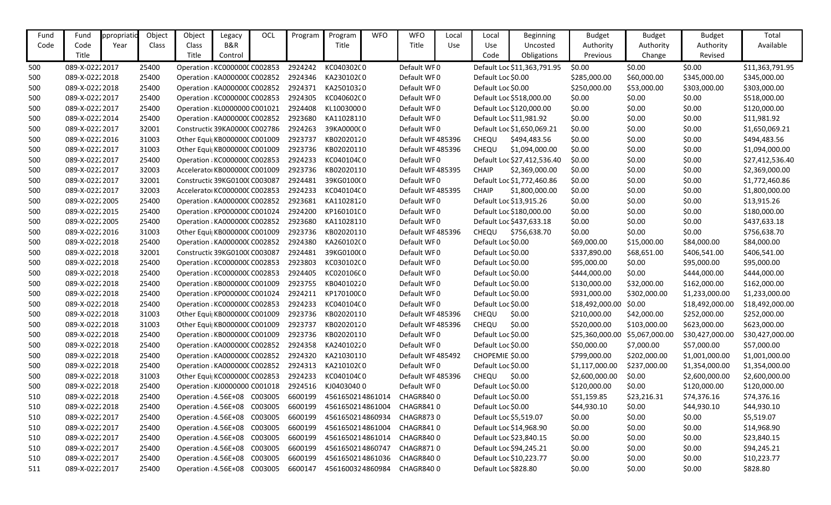| Fund | Fund           | ppropriati | Object | Object | Legacy                               | <b>OCL</b> | Program | Program          | <b>WFO</b> | <b>WFO</b>        | Local | Local                | <b>Beginning</b>            | <b>Budget</b>   | <b>Budget</b>  | <b>Budget</b>   | Total           |
|------|----------------|------------|--------|--------|--------------------------------------|------------|---------|------------------|------------|-------------------|-------|----------------------|-----------------------------|-----------------|----------------|-----------------|-----------------|
| Code | Code           | Year       | Class  | Class  | B&R                                  |            |         | Title            |            | Title             | Use   | Use                  | Uncosted                    | Authority       | Authority      | Authority       | Available       |
|      | Title          |            |        | Title  | Control                              |            |         |                  |            |                   |       | Code                 | Obligations                 | Previous        | Change         | Revised         |                 |
| 500  | 089-X-02222017 |            | 25400  |        | Operation : KC000000C C002853        |            | 2924242 | KC040302C0       |            | Default WF0       |       |                      | Default Loc \$11,363,791.95 | \$0.00          | \$0.00         | \$0.00          | \$11,363,791.95 |
| 500  | 089-X-02222018 |            | 25400  |        | Operation : KA0000000 C002852        |            | 2924346 | KA23010200       |            | Default WF0       |       | Default Loc \$0.00   |                             | \$285,000.00    | \$60,000.00    | \$345,000.00    | \$345,000.00    |
| 500  | 089-X-02222018 |            | 25400  |        | Operation : KA0000000 C002852        |            | 2924371 | KA25010320       |            | Default WF0       |       | Default Loc \$0.00   |                             | \$250,000.00    | \$53,000.00    | \$303,000.00    | \$303,000.00    |
| 500  | 089-X-02222017 |            | 25400  |        | Operation : KC000000C C002853        |            | 2924305 | KC040602C0       |            | Default WF0       |       |                      | Default Loc \$518,000.00    | \$0.00          | \$0.00         | \$0.00          | \$518,000.00    |
| 500  | 089-X-02222017 |            | 25400  |        | Operation : KL0000000 C001021        |            | 2924408 | KL10030000       |            | Default WF0       |       |                      | Default Loc \$120,000.00    | \$0.00          | \$0.00         | \$0.00          | \$120,000.00    |
| 500  | 089-X-02222014 |            | 25400  |        | Operation : KA0000000 C002852        |            | 2923680 | KA11028110       |            | Default WF0       |       |                      | Default Loc \$11,981.92     | \$0.00          | \$0.00         | \$0.00          | \$11,981.92     |
| 500  | 089-X-02222017 |            | 32001  |        | Constructic 39KA0000C C002786        |            | 2924263 | 39KA000000       |            | Default WF0       |       |                      | Default Loc \$1,650,069.21  | \$0.00          | \$0.00         | \$0.00          | \$1,650,069.21  |
| 500  | 089-X-02222016 |            | 31003  |        | Other Equi KB000000C C001009         |            | 2923737 | KB02020120       |            | Default WF 485396 |       | CHEQU                | \$494,483.56                | \$0.00          | \$0.00         | \$0.00          | \$494,483.56    |
| 500  | 089-X-02222017 |            | 31003  |        | Other Equi KB000000C C001009         |            | 2923736 | KB02020110       |            | Default WF 485396 |       | CHEQU                | \$1,094,000.00              | \$0.00          | \$0.00         | \$0.00          | \$1,094,000.00  |
| 500  | 089-X-02222017 |            | 25400  |        | Operation : KC000000C C002853        |            | 2924233 | KC040104C0       |            | Default WF0       |       |                      | Default Loc \$27,412,536.40 | \$0.00          | \$0.00         | \$0.00          | \$27,412,536.40 |
| 500  | 089-X-02222017 |            | 32003  |        | Accelerator KB000000C C001009        |            | 2923736 | KB02020110       |            | Default WF 485395 |       | <b>CHAIP</b>         | \$2,369,000.00              | \$0.00          | \$0.00         | \$0.00          | \$2,369,000.00  |
| 500  | 089-X-02222017 |            | 32001  |        | Constructic 39KG0100(C003087         |            | 2924481 | 39KG0100(0       |            | Default WF0       |       |                      | Default Loc \$1,772,460.86  | \$0.00          | \$0.00         | \$0.00          | \$1,772,460.86  |
| 500  | 089-X-02222017 |            | 32003  |        | Accelerator KC000000C C002853        |            | 2924233 | KC040104C0       |            | Default WF 485395 |       | <b>CHAIP</b>         | \$1,800,000.00              | \$0.00          | \$0.00         | \$0.00          | \$1,800,000.00  |
| 500  | 089-X-02222005 |            | 25400  |        | Operation : KA0000000 C002852        |            | 2923681 | KA11028120       |            | Default WF0       |       |                      | Default Loc \$13,915.26     | \$0.00          | \$0.00         | \$0.00          | \$13,915.26     |
| 500  | 089-X-02222015 |            | 25400  |        | Operation : KP000000C C001024        |            | 2924200 | KP160101C0       |            | Default WF0       |       |                      | Default Loc \$180,000.00    | \$0.00          | \$0.00         | \$0.00          | \$180,000.00    |
| 500  | 089-X-02222005 |            | 25400  |        | Operation : KA0000000 C002852        |            | 2923680 | KA11028110       |            | Default WF0       |       |                      | Default Loc \$437,633.18    | \$0.00          | \$0.00         | \$0.00          | \$437,633.18    |
| 500  | 089-X-02222016 |            | 31003  |        | Other Equi  KB000000C C001009        |            | 2923736 | KB02020110       |            | Default WF 485396 |       | CHEQU                | \$756,638.70                | \$0.00          | \$0.00         | \$0.00          | \$756,638.70    |
| 500  | 089-X-02222018 |            | 25400  |        | Operation : KA0000000 C002852        |            | 2924380 | KA260102(0       |            | Default WF0       |       | Default Loc \$0.00   |                             | \$69,000.00     | \$15,000.00    | \$84,000.00     | \$84,000.00     |
| 500  | 089-X-02222018 |            | 32001  |        | Constructic 39KG0100(C003087         |            | 2924481 | 39KG0100(0       |            | Default WF0       |       | Default Loc \$0.00   |                             | \$337,890.00    | \$68,651.00    | \$406,541.00    | \$406,541.00    |
| 500  | 089-X-02222018 |            | 25400  |        | Operation : KC000000C C002853        |            | 2923803 | KC030102C0       |            | Default WF0       |       | Default Loc \$0.00   |                             | \$95,000.00     | \$0.00         | \$95,000.00     | \$95,000.00     |
| 500  | 089-X-02222018 |            | 25400  |        | Operation : KC000000C C002853        |            | 2924405 | KC020106C0       |            | Default WF0       |       | Default Loc \$0.00   |                             | \$444,000.00    | \$0.00         | \$444,000.00    | \$444,000.00    |
| 500  | 089-X-02222018 |            | 25400  |        | Operation : KB000000C C001009        |            | 2923755 | KB04010220       |            | Default WF0       |       | Default Loc \$0.00   |                             | \$130,000.00    | \$32,000.00    | \$162,000.00    | \$162,000.00    |
| 500  | 089-X-02222018 |            | 25400  |        | Operation : KP000000C C001024        |            | 2924211 | KP170100C0       |            | Default WF0       |       | Default Loc \$0.00   |                             | \$931,000.00    | \$302,000.00   | \$1,233,000.00  | \$1,233,000.00  |
| 500  | 089-X-02222018 |            | 25400  |        | Operation : KC000000C C002853        |            | 2924233 | KC04010400       |            | Default WF0       |       | Default Loc \$0.00   |                             | \$18,492,000.00 | \$0.00         | \$18,492,000.00 | \$18,492,000.00 |
| 500  | 089-X-02222018 |            | 31003  |        | Other Equi KB000000C C001009         |            | 2923736 | KB02020110       |            | Default WF 485396 |       | CHEQU                | \$0.00                      | \$210,000.00    | \$42,000.00    | \$252,000.00    | \$252,000.00    |
| 500  | 089-X-02222018 |            | 31003  |        | Other Equi KB000000C C001009         |            | 2923737 | KB02020120       |            | Default WF 485396 |       | CHEQU                | \$0.00                      | \$520,000.00    | \$103,000.00   | \$623,000.00    | \$623,000.00    |
| 500  | 089-X-02222018 |            | 25400  |        | Operation : KB000000C C001009        |            | 2923736 | KB02020110       |            | Default WF0       |       | Default Loc \$0.00   |                             | \$25,360,000.00 | \$5,067,000.00 | \$30,427,000.00 | \$30,427,000.00 |
| 500  | 089-X-02222018 |            | 25400  |        | Operation : KA0000000 C002852        |            | 2924358 | KA24010220       |            | Default WF0       |       | Default Loc \$0.00   |                             | \$50,000.00     | \$7,000.00     | \$57,000.00     | \$57,000.00     |
| 500  | 089-X-02222018 |            | 25400  |        | Operation : KA0000000 C002852        |            | 2924320 | KA21030110       |            | Default WF 485492 |       | CHOPEMIE \$0.00      |                             | \$799,000.00    | \$202,000.00   | \$1,001,000.00  | \$1,001,000.00  |
| 500  | 089-X-02222018 |            | 25400  |        | Operation : KA000000C C002852        |            | 2924313 | KA210102(0       |            | Default WF0       |       | Default Loc \$0.00   |                             | \$1,117,000.00  | \$237,000.00   | \$1,354,000.00  | \$1,354,000.00  |
| 500  | 089-X-02222018 |            | 31003  |        | Other Equi  KC000000C C002853        |            | 2924233 | KC040104C0       |            | Default WF 485396 |       | CHEQU                | \$0.00                      | \$2,600,000.00  | \$0.00         | \$2,600,000.00  | \$2,600,000.00  |
| 500  | 089-X-02222018 |            | 25400  |        | Operation : KJ0000000 C001018        |            | 2924516 | KJ04030400       |            | Default WF0       |       | Default Loc \$0.00   |                             | \$120,000.00    | \$0.00         | \$120,000.00    | \$120,000.00    |
| 510  | 089-X-02222018 |            | 25400  |        | Operation : 4.56E+08 C003005         |            | 6600199 | 4561650214861014 |            | <b>CHAGR8400</b>  |       | Default Loc \$0.00   |                             | \$51,159.85     | \$23,216.31    | \$74,376.16     | \$74,376.16     |
| 510  | 089-X-02222018 |            | 25400  |        | Operation : 4.56E+08 C003005         |            | 6600199 | 4561650214861004 |            | CHAGR8410         |       | Default Loc \$0.00   |                             | \$44,930.10     | \$0.00         | \$44,930.10     | \$44,930.10     |
| 510  | 089-X-02222017 |            | 25400  |        | Operation : 4.56E+08 C003005         |            | 6600199 | 4561650214860934 |            | CHAGR8730         |       |                      | Default Loc \$5,519.07      | \$0.00          | \$0.00         | \$0.00          | \$5,519.07      |
| 510  | 089-X-02222017 |            | 25400  |        | Operation : 4.56E+08 C003005         |            | 6600199 | 4561650214861004 |            | CHAGR8410         |       |                      | Default Loc \$14,968.90     | \$0.00          | \$0.00         | \$0.00          | \$14,968.90     |
| 510  | 089-X-02222017 |            | 25400  |        | Operation : 4.56E+08 C003005         |            | 6600199 | 4561650214861014 |            | CHAGR8400         |       |                      | Default Loc \$23,840.15     | \$0.00          | \$0.00         | \$0.00          | \$23,840.15     |
| 510  | 089-X-02222017 |            | 25400  |        | Operation: 4.56E+08 C003005          |            | 6600199 | 4561650214860747 |            | CHAGR8710         |       |                      | Default Loc \$94,245.21     | \$0.00          | \$0.00         | \$0.00          | \$94,245.21     |
| 510  | 089-X-02222017 |            | 25400  |        | Operation : 4.56E+08 C003005         |            | 6600199 | 4561650214861036 |            | CHAGR8400         |       |                      | Default Loc \$10,223.77     | \$0.00          | \$0.00         | \$0.00          | \$10,223.77     |
| 511  | 089-X-02222017 |            | 25400  |        | Operation : 4.56E+08 C003005 6600147 |            |         | 4561600324860984 |            | CHAGR8400         |       | Default Loc \$828.80 |                             | \$0.00          | \$0.00         | \$0.00          | \$828.80        |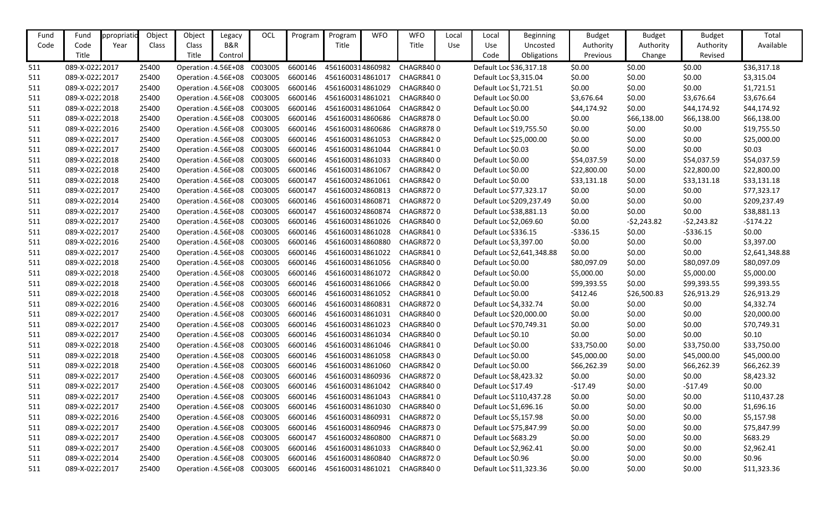| Fund | Fund            | ppropriatio | Object | Object                               | Legacy  | OCL                                 | Program | Program          | <b>WFO</b> | <b>WFO</b>       | Local | Local                   | <b>Beginning</b>           | <b>Budget</b> | <b>Budget</b> | <b>Budget</b> | Total          |
|------|-----------------|-------------|--------|--------------------------------------|---------|-------------------------------------|---------|------------------|------------|------------------|-------|-------------------------|----------------------------|---------------|---------------|---------------|----------------|
| Code | Code            | Year        | Class  | Class                                | B&R     |                                     |         | Title            |            | Title            | Use   | Use                     | Uncosted                   | Authority     | Authority     | Authority     | Available      |
|      | Title           |             |        | Title                                | Control |                                     |         |                  |            |                  |       | Code                    | Obligations                | Previous      | Change        | Revised       |                |
| 511  | 089-X-02222017  |             | 25400  | Operation : 4.56E+08                 |         | C003005                             | 6600146 | 4561600314860982 |            | CHAGR8400        |       |                         | Default Loc \$36,317.18    | \$0.00        | \$0.00        | \$0.00        | \$36,317.18    |
| 511  | 089-X-02222017  |             | 25400  | Operation : 4.56E+08 C003005         |         |                                     | 6600146 | 4561600314861017 |            | CHAGR8410        |       | Default Loc \$3,315.04  |                            | \$0.00        | \$0.00        | \$0.00        | \$3,315.04     |
| 511  | 089-X-02222017  |             | 25400  | Operation : 4.56E+08                 |         | C003005                             | 6600146 | 4561600314861029 |            | <b>CHAGR8400</b> |       | Default Loc \$1,721.51  |                            | \$0.00        | \$0.00        | \$0.00        | \$1,721.51     |
| 511  | 089-X-02222018  |             | 25400  | Operation : 4.56E+08                 |         | C003005                             | 6600146 | 4561600314861021 |            | CHAGR8400        |       | Default Loc \$0.00      |                            | \$3,676.64    | \$0.00        | \$3,676.64    | \$3,676.64     |
| 511  | 089-X-02222018  |             | 25400  | Operation : 4.56E+08 C003005         |         |                                     | 6600146 | 4561600314861064 |            | CHAGR8420        |       | Default Loc \$0.00      |                            | \$44,174.92   | \$0.00        | \$44,174.92   | \$44,174.92    |
| 511  | 089-X-02222018  |             | 25400  | Operation : 4.56E+08                 |         | C003005                             | 6600146 | 4561600314860686 |            | <b>CHAGR8780</b> |       | Default Loc \$0.00      |                            | \$0.00        | \$66,138.00   | \$66,138.00   | \$66,138.00    |
| 511  | 089-X-02222016  |             | 25400  | Operation : 4.56E+08 C003005         |         |                                     | 6600146 | 4561600314860686 |            | <b>CHAGR8780</b> |       |                         | Default Loc \$19,755.50    | \$0.00        | \$0.00        | \$0.00        | \$19,755.50    |
| 511  | 089-X-02222017  |             | 25400  | Operation : 4.56E+08                 |         | C003005                             | 6600146 | 4561600314861053 |            | CHAGR8420        |       |                         | Default Loc \$25,000.00    | \$0.00        | \$0.00        | \$0.00        | \$25,000.00    |
| 511  | 089-X-02222017  |             | 25400  | Operation : 4.56E+08                 |         | C003005                             | 6600146 | 4561600314861044 |            | CHAGR8410        |       | Default Loc \$0.03      |                            | \$0.00        | \$0.00        | \$0.00        | \$0.03         |
| 511  | 089-X-02222018  |             | 25400  | Operation : 4.56E+08 C003005         |         |                                     | 6600146 | 4561600314861033 |            | <b>CHAGR8400</b> |       | Default Loc \$0.00      |                            | \$54,037.59   | \$0.00        | \$54,037.59   | \$54,037.59    |
| 511  | 089-X-02222018  |             | 25400  | Operation : 4.56E+08                 |         | C003005                             | 6600146 | 4561600314861067 |            | <b>CHAGR8420</b> |       | Default Loc \$0.00      |                            | \$22,800.00   | \$0.00        | \$22,800.00   | \$22,800.00    |
| 511  | 089-X-02222018  |             | 25400  | Operation : 4.56E+08 C003005         |         |                                     | 6600147 | 4561600324861061 |            | <b>CHAGR8420</b> |       | Default Loc \$0.00      |                            | \$33,131.18   | \$0.00        | \$33,131.18   | \$33,131.18    |
| 511  | 089-X-02222017  |             | 25400  | Operation : 4.56E+08                 |         | C003005                             | 6600147 | 4561600324860813 |            | <b>CHAGR8720</b> |       |                         | Default Loc \$77,323.17    | \$0.00        | \$0.00        | \$0.00        | \$77,323.17    |
| 511  | 089-X-02222014  |             | 25400  | Operation : 4.56E+08 C003005         |         |                                     | 6600146 | 4561600314860871 |            | <b>CHAGR8720</b> |       |                         | Default Loc \$209,237.49   | \$0.00        | \$0.00        | \$0.00        | \$209,237.49   |
| 511  | 089-X-02222017  |             | 25400  | Operation : 4.56E+08                 |         | C003005                             | 6600147 | 4561600324860874 |            | <b>CHAGR8720</b> |       |                         | Default Loc \$38,881.13    | \$0.00        | \$0.00        | \$0.00        | \$38,881.13    |
| 511  | 089-X-02222017  |             | 25400  | Operation : 4.56E+08 C003005         |         |                                     | 6600146 | 4561600314861026 |            | <b>CHAGR8400</b> |       | Default Loc \$2,069.60  |                            | \$0.00        | $-52,243.82$  | $-52,243.82$  | $-5174.22$     |
| 511  | 089-X-02222017  |             | 25400  | Operation : 4.56E+08                 |         | C003005                             | 6600146 | 4561600314861028 |            | CHAGR8410        |       | Default Loc \$336.15    |                            | $-5336.15$    | \$0.00        | $-5336.15$    | \$0.00         |
| 511  | 089-X-02222016  |             | 25400  | Operation : 4.56E+08 C003005         |         |                                     | 6600146 | 4561600314860880 |            | <b>CHAGR8720</b> |       | Default Loc \$3,397.00  |                            | \$0.00        | \$0.00        | \$0.00        | \$3,397.00     |
| 511  | 089-X-02222017  |             | 25400  | Operation : 4.56E+08 C003005         |         |                                     | 6600146 | 4561600314861022 |            | CHAGR8410        |       |                         | Default Loc \$2,641,348.88 | \$0.00        | \$0.00        | \$0.00        | \$2,641,348.88 |
| 511  | 089-X-02222018  |             | 25400  | Operation : 4.56E+08                 |         | C003005                             | 6600146 | 4561600314861056 |            | CHAGR8400        |       | Default Loc \$0.00      |                            | \$80,097.09   | \$0.00        | \$80,097.09   | \$80,097.09    |
| 511  | 089-X-02222018  |             | 25400  | Operation : 4.56E+08                 |         | C003005                             | 6600146 | 4561600314861072 |            | <b>CHAGR8420</b> |       | Default Loc \$0.00      |                            | \$5,000.00    | \$0.00        | \$5,000.00    | \$5,000.00     |
| 511  | 089-X-02222018  |             | 25400  | Operation : 4.56E+08                 |         | C003005                             | 6600146 | 4561600314861066 |            | <b>CHAGR8420</b> |       | Default Loc \$0.00      |                            | \$99,393.55   | \$0.00        | \$99,393.55   | \$99,393.55    |
| 511  | 089-X-02222018  |             | 25400  | Operation : 4.56E+08 C003005         |         |                                     | 6600146 | 4561600314861052 |            | CHAGR8410        |       | Default Loc \$0.00      |                            | \$412.46      | \$26,500.83   | \$26,913.29   | \$26,913.29    |
| 511  | 089-X-02222016  |             | 25400  | Operation : 4.56E+08                 |         | C003005                             | 6600146 | 4561600314860831 |            | CHAGR8720        |       | Default Loc \$4,332.74  |                            | \$0.00        | \$0.00        | \$0.00        | \$4,332.74     |
| 511  | 089-X-02222017  |             | 25400  | Operation : 4.56E+08                 |         | C003005                             | 6600146 | 4561600314861031 |            | <b>CHAGR8400</b> |       |                         | Default Loc \$20,000.00    | \$0.00        | \$0.00        | \$0.00        | \$20,000.00    |
| 511  | 089-X-02222017  |             | 25400  | Operation : 4.56E+08                 |         | C003005                             | 6600146 | 4561600314861023 |            | CHAGR8400        |       | Default Loc \$70,749.31 |                            | \$0.00        | \$0.00        | \$0.00        | \$70,749.31    |
| 511  | 089-X-02222017  |             | 25400  | Operation : 4.56E+08                 |         | C003005                             | 6600146 | 4561600314861034 |            | <b>CHAGR8400</b> |       | Default Loc \$0.10      |                            | \$0.00        | \$0.00        | \$0.00        | \$0.10         |
| 511  | 089-X-02222018  |             | 25400  |                                      |         | Operation: 4.56E+08 C003005 6600146 |         | 4561600314861046 |            | CHAGR8410        |       | Default Loc \$0.00      |                            | \$33,750.00   | \$0.00        | \$33,750.00   | \$33,750.00    |
| 511  | 089-X-02222018  |             | 25400  | Operation : 4.56E+08 C003005         |         |                                     | 6600146 | 4561600314861058 |            | CHAGR8430        |       | Default Loc \$0.00      |                            | \$45,000.00   | \$0.00        | \$45,000.00   | \$45,000.00    |
| 511  | 089-X-02222018  |             | 25400  | Operation : 4.56E+08 C003005         |         |                                     | 6600146 | 4561600314861060 |            | CHAGR8420        |       | Default Loc \$0.00      |                            | \$66,262.39   | \$0.00        | \$66,262.39   | \$66,262.39    |
| 511  | 089-X-02222017  |             | 25400  | Operation : 4.56E+08 C003005         |         |                                     | 6600146 | 4561600314860936 |            | CHAGR8720        |       | Default Loc \$8,423.32  |                            | \$0.00        | \$0.00        | \$0.00        | \$8,423.32     |
| 511  | 089-X-02222017  |             | 25400  | Operation : 4.56E+08 C003005         |         |                                     | 6600146 | 4561600314861042 |            | CHAGR8400        |       | Default Loc \$17.49     |                            | $-517.49$     | \$0.00        | $-517.49$     | \$0.00         |
| 511  | 089-X-02222017  |             | 25400  | Operation : 4.56E+08 C003005 6600146 |         |                                     |         | 4561600314861043 |            | CHAGR8410        |       |                         | Default Loc \$110,437.28   | \$0.00        | \$0.00        | \$0.00        | \$110,437.28   |
| 511  | 089-X-0222 2017 |             | 25400  | Operation : 4.56E+08 C003005         |         |                                     | 6600146 | 4561600314861030 |            | CHAGR8400        |       | Default Loc \$1,696.16  |                            | \$0.00        | \$0.00        | \$0.00        | \$1,696.16     |
| 511  | 089-X-02222016  |             | 25400  | Operation : 4.56E+08 C003005         |         |                                     | 6600146 | 4561600314860931 |            | CHAGR8720        |       | Default Loc \$5,157.98  |                            | \$0.00        | \$0.00        | \$0.00        | \$5,157.98     |
| 511  | 089-X-02222017  |             | 25400  | Operation : 4.56E+08 C003005         |         |                                     | 6600146 | 4561600314860946 |            | <b>CHAGR8730</b> |       |                         | Default Loc \$75,847.99    | \$0.00        | \$0.00        | \$0.00        | \$75,847.99    |
| 511  | 089-X-02222017  |             | 25400  | Operation: 4.56E+08 C003005          |         |                                     | 6600147 | 4561600324860800 |            | CHAGR8710        |       | Default Loc \$683.29    |                            | \$0.00        | \$0.00        | \$0.00        | \$683.29       |
| 511  | 089-X-02222017  |             | 25400  | Operation: 4.56E+08 C003005          |         |                                     | 6600146 | 4561600314861033 |            | CHAGR8400        |       | Default Loc \$2,962.41  |                            | \$0.00        | \$0.00        | \$0.00        | \$2,962.41     |
| 511  | 089-X-0222 2014 |             | 25400  | Operation : 4.56E+08 C003005 6600146 |         |                                     |         | 4561600314860840 |            | CHAGR8720        |       | Default Loc \$0.96      |                            | \$0.00        | \$0.00        | \$0.00        | \$0.96         |
| 511  | 089-X-02222017  |             | 25400  | Operation: 4.56E+08 C003005 6600146  |         |                                     |         | 4561600314861021 |            | CHAGR8400        |       |                         | Default Loc \$11,323.36    | \$0.00        | \$0.00        | \$0.00        | \$11,323.36    |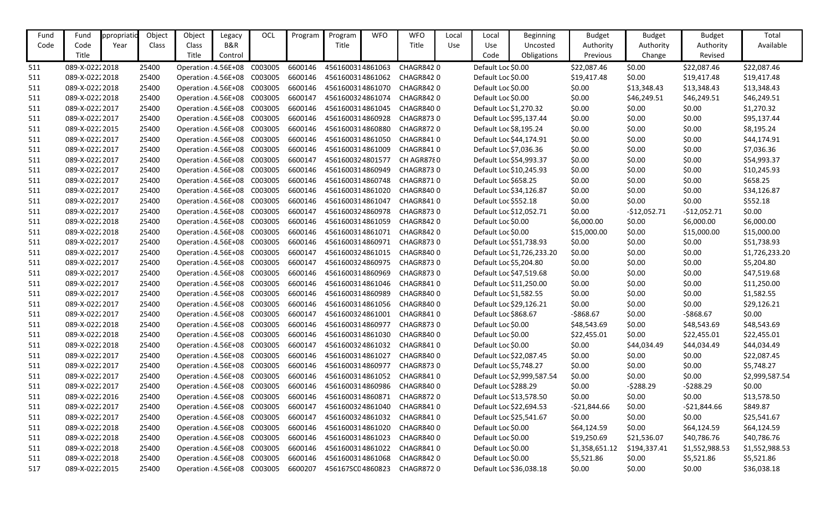| Fund | Fund            | ppropriatio | Object | Object                               | Legacy  | OCL     | Program | Program          | <b>WFO</b> | <b>WFO</b>       | Local      | Local                  | <b>Beginning</b>           | <b>Budget</b>  | <b>Budget</b> | <b>Budget</b>  | Total          |
|------|-----------------|-------------|--------|--------------------------------------|---------|---------|---------|------------------|------------|------------------|------------|------------------------|----------------------------|----------------|---------------|----------------|----------------|
| Code | Code            | Year        | Class  | Class                                | B&R     |         |         | Title            |            | Title            | <b>Use</b> | Use                    | Uncosted                   | Authority      | Authority     | Authority      | Available      |
|      | Title           |             |        | Title                                | Control |         |         |                  |            |                  |            | Code                   | Obligations                | Previous       | Change        | Revised        |                |
| 511  | 089-X-02222018  |             | 25400  | Operation : 4.56E+08                 |         | C003005 | 6600146 | 4561600314861063 |            | <b>CHAGR8420</b> |            | Default Loc \$0.00     |                            | \$22,087.46    | \$0.00        | \$22,087.46    | \$22,087.46    |
| 511  | 089-X-02222018  |             | 25400  | Operation : 4.56E+08 C003005         |         |         | 6600146 | 4561600314861062 |            | CHAGR8420        |            | Default Loc \$0.00     |                            | \$19,417.48    | \$0.00        | \$19,417.48    | \$19,417.48    |
| 511  | 089-X-02222018  |             | 25400  | Operation : 4.56E+08                 |         | C003005 | 6600146 | 4561600314861070 |            | <b>CHAGR8420</b> |            | Default Loc \$0.00     |                            | \$0.00         | \$13,348.43   | \$13,348.43    | \$13,348.43    |
| 511  | 089-X-02222018  |             | 25400  | Operation : 4.56E+08                 |         | C003005 | 6600147 | 4561600324861074 |            | <b>CHAGR8420</b> |            | Default Loc \$0.00     |                            | \$0.00         | \$46,249.51   | \$46,249.51    | \$46,249.51    |
| 511  | 089-X-02222017  |             | 25400  | Operation : 4.56E+08                 |         | C003005 | 6600146 | 4561600314861045 |            | <b>CHAGR8400</b> |            | Default Loc \$1,270.32 |                            | \$0.00         | \$0.00        | \$0.00         | \$1,270.32     |
| 511  | 089-X-02222017  |             | 25400  | Operation : 4.56E+08                 |         | C003005 | 6600146 | 4561600314860928 |            | <b>CHAGR8730</b> |            |                        | Default Loc \$95,137.44    | \$0.00         | \$0.00        | \$0.00         | \$95,137.44    |
| 511  | 089-X-02222015  |             | 25400  | Operation : 4.56E+08                 |         | C003005 | 6600146 | 4561600314860880 |            | <b>CHAGR8720</b> |            | Default Loc \$8,195.24 |                            | \$0.00         | \$0.00        | \$0.00         | \$8,195.24     |
| 511  | 089-X-02222017  |             | 25400  | Operation : 4.56E+08                 |         | C003005 | 6600146 | 4561600314861050 |            | CHAGR8410        |            |                        | Default Loc \$44,174.91    | \$0.00         | \$0.00        | \$0.00         | \$44,174.91    |
| 511  | 089-X-02222017  |             | 25400  | Operation : 4.56E+08                 |         | C003005 | 6600146 | 4561600314861009 |            | CHAGR8410        |            | Default Loc \$7,036.36 |                            | \$0.00         | \$0.00        | \$0.00         | \$7,036.36     |
| 511  | 089-X-02222017  |             | 25400  | Operation : 4.56E+08                 |         | C003005 | 6600147 | 4561600324801577 |            | CH AGR8780       |            |                        | Default Loc \$54,993.37    | \$0.00         | \$0.00        | \$0.00         | \$54,993.37    |
| 511  | 089-X-02222017  |             | 25400  | Operation : 4.56E+08                 |         | C003005 | 6600146 | 4561600314860949 |            | <b>CHAGR8730</b> |            |                        | Default Loc \$10,245.93    | \$0.00         | \$0.00        | \$0.00         | \$10,245.93    |
| 511  | 089-X-02222017  |             | 25400  | Operation : 4.56E+08 C003005         |         |         | 6600146 | 4561600314860748 |            | CHAGR8710        |            | Default Loc \$658.25   |                            | \$0.00         | \$0.00        | \$0.00         | \$658.25       |
| 511  | 089-X-02222017  |             | 25400  | Operation : 4.56E+08                 |         | C003005 | 6600146 | 4561600314861020 |            | <b>CHAGR8400</b> |            |                        | Default Loc \$34,126.87    | \$0.00         | \$0.00        | \$0.00         | \$34,126.87    |
| 511  | 089-X-02222017  |             | 25400  | Operation : 4.56E+08                 |         | C003005 | 6600146 | 4561600314861047 |            | CHAGR8410        |            | Default Loc \$552.18   |                            | \$0.00         | \$0.00        | \$0.00         | \$552.18       |
| 511  | 089-X-02222017  |             | 25400  | Operation : 4.56E+08                 |         | C003005 | 6600147 | 4561600324860978 |            | <b>CHAGR8730</b> |            |                        | Default Loc \$12,052.71    | \$0.00         | $-$12,052.71$ | $-$12,052.71$  | \$0.00         |
| 511  | 089-X-02222018  |             | 25400  | Operation : 4.56E+08                 |         | C003005 | 6600146 | 4561600314861059 |            | <b>CHAGR8420</b> |            | Default Loc \$0.00     |                            | \$6,000.00     | \$0.00        | \$6,000.00     | \$6,000.00     |
| 511  | 089-X-02222018  |             | 25400  | Operation : 4.56E+08                 |         | C003005 | 6600146 | 4561600314861071 |            | <b>CHAGR8420</b> |            | Default Loc \$0.00     |                            | \$15,000.00    | \$0.00        | \$15,000.00    | \$15,000.00    |
| 511  | 089-X-02222017  |             | 25400  | Operation : 4.56E+08                 |         | C003005 | 6600146 | 4561600314860971 |            | <b>CHAGR8730</b> |            |                        | Default Loc \$51,738.93    | \$0.00         | \$0.00        | \$0.00         | \$51,738.93    |
| 511  | 089-X-02222017  |             | 25400  | Operation : 4.56E+08                 |         | C003005 | 6600147 | 4561600324861015 |            | CHAGR8400        |            |                        | Default Loc \$1,726,233.20 | \$0.00         | \$0.00        | \$0.00         | \$1,726,233.20 |
| 511  | 089-X-02222017  |             | 25400  | Operation : 4.56E+08                 |         | C003005 | 6600147 | 4561600324860975 |            | <b>CHAGR8730</b> |            | Default Loc \$5,204.80 |                            | \$0.00         | \$0.00        | \$0.00         | \$5,204.80     |
| 511  | 089-X-02222017  |             | 25400  | Operation : 4.56E+08                 |         | C003005 | 6600146 | 4561600314860969 |            | <b>CHAGR8730</b> |            |                        | Default Loc \$47,519.68    | \$0.00         | \$0.00        | \$0.00         | \$47,519.68    |
| 511  | 089-X-02222017  |             | 25400  | Operation : 4.56E+08                 |         | C003005 | 6600146 | 4561600314861046 |            | CHAGR8410        |            |                        | Default Loc \$11,250.00    | \$0.00         | \$0.00        | \$0.00         | \$11,250.00    |
| 511  | 089-X-02222017  |             | 25400  | Operation : 4.56E+08                 |         | C003005 | 6600146 | 4561600314860989 |            | <b>CHAGR8400</b> |            | Default Loc \$1,582.55 |                            | \$0.00         | \$0.00        | \$0.00         | \$1,582.55     |
| 511  | 089-X-02222017  |             | 25400  | Operation : 4.56E+08                 |         | C003005 | 6600146 | 4561600314861056 |            | CHAGR8400        |            |                        | Default Loc \$29,126.21    | \$0.00         | \$0.00        | \$0.00         | \$29,126.21    |
| 511  | 089-X-02222017  |             | 25400  | Operation : 4.56E+08                 |         | C003005 | 6600147 | 4561600324861001 |            | CHAGR8410        |            | Default Loc \$868.67   |                            | $-5868.67$     | \$0.00        | $-5868.67$     | \$0.00         |
| 511  | 089-X-02222018  |             | 25400  | Operation : 4.56E+08                 |         | C003005 | 6600146 | 4561600314860977 |            | <b>CHAGR8730</b> |            | Default Loc \$0.00     |                            | \$48,543.69    | \$0.00        | \$48,543.69    | \$48,543.69    |
| 511  | 089-X-02222018  |             | 25400  | Operation : 4.56E+08                 |         | C003005 | 6600146 | 4561600314861030 |            | <b>CHAGR8400</b> |            | Default Loc \$0.00     |                            | \$22,455.01    | \$0.00        | \$22,455.01    | \$22,455.01    |
| 511  | 089-X-02222018  |             | 25400  | Operation : 4.56E+08 C003005         |         |         | 6600147 | 4561600324861032 |            | CHAGR8410        |            | Default Loc \$0.00     |                            | \$0.00         | \$44,034.49   | \$44,034.49    | \$44,034.49    |
| 511  | 089-X-02222017  |             | 25400  | Operation : 4.56E+08 C003005         |         |         | 6600146 | 4561600314861027 |            | <b>CHAGR8400</b> |            |                        | Default Loc \$22,087.45    | \$0.00         | \$0.00        | \$0.00         | \$22,087.45    |
| 511  | 089-X-02222017  |             | 25400  | Operation : 4.56E+08 C003005         |         |         | 6600146 | 4561600314860977 |            | <b>CHAGR8730</b> |            | Default Loc \$5,748.27 |                            | \$0.00         | \$0.00        | \$0.00         | \$5,748.27     |
| 511  | 089-X-02222017  |             | 25400  | Operation : 4.56E+08 C003005         |         |         | 6600146 | 4561600314861052 |            | CHAGR8410        |            |                        | Default Loc \$2,999,587.54 | \$0.00         | \$0.00        | \$0.00         | \$2,999,587.54 |
| 511  | 089-X-02222017  |             | 25400  | Operation : 4.56E+08 C003005         |         |         | 6600146 | 4561600314860986 |            | CHAGR8400        |            | Default Loc \$288.29   |                            | \$0.00         | -\$288.29     | $-5288.29$     | \$0.00         |
| 511  | 089-X-02222016  |             | 25400  | Operation : 4.56E+08 C003005         |         |         | 6600146 | 4561600314860871 |            | CHAGR8720        |            |                        | Default Loc \$13,578.50    | \$0.00         | \$0.00        | \$0.00         | \$13,578.50    |
| 511  | 089-X-02222017  |             | 25400  | Operation : 4.56E+08 C003005         |         |         | 6600147 | 4561600324861040 |            | CHAGR8410        |            |                        | Default Loc \$22,694.53    | $-521,844.66$  | \$0.00        | $-521,844.66$  | \$849.87       |
| 511  | 089-X-02222017  |             | 25400  | Operation : 4.56E+08 C003005         |         |         | 6600147 | 4561600324861032 |            | CHAGR8410        |            |                        | Default Loc \$25,541.67    | \$0.00         | \$0.00        | \$0.00         | \$25,541.67    |
| 511  | 089-X-02222018  |             | 25400  | Operation : 4.56E+08 C003005         |         |         | 6600146 | 4561600314861020 |            | <b>CHAGR8400</b> |            | Default Loc \$0.00     |                            | \$64,124.59    | \$0.00        | \$64,124.59    | \$64,124.59    |
| 511  | 089-X-02222018  |             | 25400  | Operation : 4.56E+08 C003005         |         |         | 6600146 | 4561600314861023 |            | CHAGR8400        |            | Default Loc \$0.00     |                            | \$19,250.69    | \$21,536.07   | \$40,786.76    | \$40,786.76    |
| 511  | 089-X-02222018  |             | 25400  | Operation: 4.56E+08 C003005          |         |         | 6600146 | 4561600314861022 |            | CHAGR8410        |            | Default Loc \$0.00     |                            | \$1,358,651.12 | \$194,337.41  | \$1,552,988.53 | \$1,552,988.53 |
| 511  | 089-X-0222 2018 |             | 25400  | Operation : 4.56E+08 C003005         |         |         | 6600146 | 4561600314861068 |            | CHAGR8420        |            | Default Loc \$0.00     |                            | \$5,521.86     | \$0.00        | \$5,521.86     | \$5,521.86     |
| 517  | 089-X-02222015  |             | 25400  | Operation : 4.56E+08 C003005 6600207 |         |         |         | 456167SC04860823 |            | <b>CHAGR8720</b> |            |                        | Default Loc \$36,038.18    | \$0.00         | \$0.00        | \$0.00         | \$36,038.18    |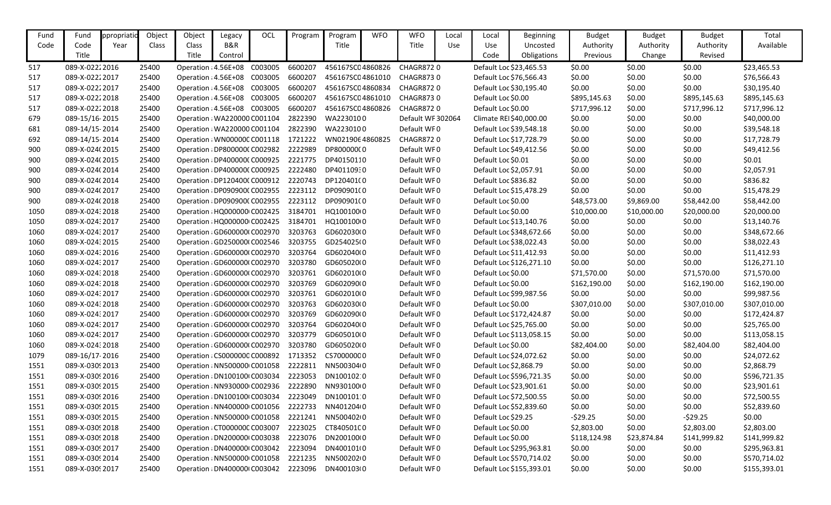| Fund | Fund            | ppropriati | Object | Object                                | Legacy  | OCL     | Program | Program          | <b>WFO</b> | <b>WFO</b>        | Local | Local                  | <b>Beginning</b>         | <b>Budget</b> | <b>Budget</b> | <b>Budget</b> | Total        |
|------|-----------------|------------|--------|---------------------------------------|---------|---------|---------|------------------|------------|-------------------|-------|------------------------|--------------------------|---------------|---------------|---------------|--------------|
| Code | Code            | Year       | Class  | Class                                 | B&R     |         |         | Title            |            | Title             | Use   | Use                    | Uncosted                 | Authority     | Authority     | Authority     | Available    |
|      | Title           |            |        | Title                                 | Control |         |         |                  |            |                   |       | Code                   | Obligations              | Previous      | Change        | Revised       |              |
| 517  | 089-X-02222016  |            | 25400  | Operation : 4.56E+08                  |         | C003005 | 6600207 | 456167SC04860826 |            | <b>CHAGR8720</b>  |       |                        | Default Loc \$23,465.53  | \$0.00        | \$0.00        | \$0.00        | \$23,465.53  |
| 517  | 089-X-02222017  |            | 25400  | Operation : 4.56E+08                  |         | C003005 | 6600207 | 456167SC04861010 |            | <b>CHAGR8730</b>  |       |                        | Default Loc \$76,566.43  | \$0.00        | \$0.00        | \$0.00        | \$76,566.43  |
| 517  | 089-X-02222017  |            | 25400  | Operation : 4.56E+08                  |         | C003005 | 6600207 | 456167SC04860834 |            | <b>CHAGR8720</b>  |       |                        | Default Loc \$30,195.40  | \$0.00        | \$0.00        | \$0.00        | \$30,195.40  |
| 517  | 089-X-02222018  |            | 25400  | Operation : 4.56E+08                  |         | C003005 | 6600207 | 456167SC04861010 |            | <b>CHAGR8730</b>  |       | Default Loc \$0.00     |                          | \$895,145.63  | \$0.00        | \$895,145.63  | \$895,145.63 |
| 517  | 089-X-02222018  |            | 25400  | Operation : 4.56E+08 C003005          |         |         | 6600207 | 456167SC04860826 |            | <b>CHAGR8720</b>  |       | Default Loc \$0.00     |                          | \$717,996.12  | \$0.00        | \$717,996.12  | \$717,996.12 |
| 679  | 089-15/16-2015  |            | 25400  | Operation : WA220000 C001104          |         |         | 2822390 | WA2230100        |            | Default WF 302064 |       |                        | Climate REI\$40,000.00   | \$0.00        | \$0.00        | \$0.00        | \$40,000.00  |
| 681  | 089-14/15-2014  |            | 25400  | Operation : WA220000 C001104          |         |         | 2822390 | WA2230100        |            | Default WF0       |       |                        | Default Loc \$39,548.18  | \$0.00        | \$0.00        | \$0.00        | \$39,548.18  |
| 692  | 089-14/15-2014  |            | 25400  | Operation: WN00000C C001118           |         |         | 1721222 | WN0219064860825  |            | <b>CHAGR8720</b>  |       |                        | Default Loc \$17,728.79  | \$0.00        | \$0.00        | \$0.00        | \$17,728.79  |
| 900  | 089-X-024(2015  |            | 25400  | Operation : DP800000(C002982          |         |         | 2222989 | DP80000000       |            | Default WF0       |       |                        | Default Loc \$49,412.56  | \$0.00        | \$0.00        | \$0.00        | \$49,412.56  |
| 900  | 089-X-024(2015  |            | 25400  | Operation : DP400000(C000925          |         |         | 2221775 | DP40150110       |            | Default WF0       |       | Default Loc \$0.01     |                          | \$0.00        | \$0.00        | \$0.00        | \$0.01       |
| 900  | 089-X-024(2014  |            | 25400  | Operation : DP400000(C000925          |         |         | 2222480 | DP40110930       |            | Default WF0       |       | Default Loc \$2,057.91 |                          | \$0.00        | \$0.00        | \$0.00        | \$2,057.91   |
| 900  | 089-X-024(2014  |            | 25400  | Operation : DP120400(C000912          |         |         | 2220743 | DP120401(0       |            | Default WF0       |       | Default Loc \$836.82   |                          | \$0.00        | \$0.00        | \$0.00        | \$836.82     |
| 900  | 089-X-024(2017  |            | 25400  | Operation : DP090900(C002955          |         |         | 2223112 | DP090901(0       |            | Default WF0       |       |                        | Default Loc \$15,478.29  | \$0.00        | \$0.00        | \$0.00        | \$15,478.29  |
| 900  | 089-X-024(2018  |            | 25400  | Operation : DP090900(C002955          |         |         | 2223112 | DP090901(0       |            | Default WF0       |       | Default Loc \$0.00     |                          | \$48,573.00   | \$9,869.00    | \$58,442.00   | \$58,442.00  |
| 1050 | 089-X-024: 2018 |            | 25400  | Operation : HQ000000 C002425          |         |         | 3184701 | HQ100100(0       |            | Default WF0       |       | Default Loc \$0.00     |                          | \$10,000.00   | \$10,000.00   | \$20,000.00   | \$20,000.00  |
| 1050 | 089-X-02432017  |            | 25400  | Operation : HQ000000 C002425          |         |         | 3184701 | HQ100100(0       |            | Default WF0       |       |                        | Default Loc \$13,140.76  | \$0.00        | \$0.00        | \$0.00        | \$13,140.76  |
| 1060 | 089-X-024: 2017 |            | 25400  | Operation : GD600000(C002970          |         |         | 3203763 | GD602030(0       |            | Default WF0       |       |                        | Default Loc \$348,672.66 | \$0.00        | \$0.00        | \$0.00        | \$348,672.66 |
| 1060 | 089-X-02432015  |            | 25400  | Operation : GD250000(C002546          |         |         | 3203755 | GD254025(0       |            | Default WF0       |       |                        | Default Loc \$38,022.43  | \$0.00        | \$0.00        | \$0.00        | \$38,022.43  |
| 1060 | 089-X-024:2016  |            | 25400  | Operation : GD600000(C002970          |         |         | 3203764 | GD602040(0       |            | Default WF0       |       |                        | Default Loc \$11,412.93  | \$0.00        | \$0.00        | \$0.00        | \$11,412.93  |
| 1060 | 089-X-024: 2017 |            | 25400  | Operation : GD600000(C002970          |         |         | 3203780 | GD605020(0       |            | Default WF0       |       |                        | Default Loc \$126,271.10 | \$0.00        | \$0.00        | \$0.00        | \$126,271.10 |
| 1060 | 089-X-02432018  |            | 25400  | Operation : GD600000(C002970          |         |         | 3203761 | GD602010(0       |            | Default WF0       |       | Default Loc \$0.00     |                          | \$71,570.00   | \$0.00        | \$71,570.00   | \$71,570.00  |
| 1060 | 089-X-024: 2018 |            | 25400  | Operation : GD600000(C002970          |         |         | 3203769 | GD602090(0       |            | Default WF0       |       | Default Loc \$0.00     |                          | \$162,190.00  | \$0.00        | \$162,190.00  | \$162,190.00 |
| 1060 | 089-X-02432017  |            | 25400  | Operation : GD600000(C002970          |         |         | 3203761 | GD602010(0       |            | Default WF0       |       |                        | Default Loc \$99,987.56  | \$0.00        | \$0.00        | \$0.00        | \$99,987.56  |
| 1060 | 089-X-024:2018  |            | 25400  | Operation : GD600000(C002970          |         |         | 3203763 | GD602030(0       |            | Default WF0       |       | Default Loc \$0.00     |                          | \$307,010.00  | \$0.00        | \$307,010.00  | \$307,010.00 |
| 1060 | 089-X-024: 2017 |            | 25400  | Operation : GD600000(C002970          |         |         | 3203769 | GD602090(0       |            | Default WF0       |       |                        | Default Loc \$172,424.87 | \$0.00        | \$0.00        | \$0.00        | \$172,424.87 |
| 1060 | 089-X-024: 2017 |            | 25400  | Operation : GD600000(C002970          |         |         | 3203764 | GD602040(0       |            | Default WF0       |       |                        | Default Loc \$25,765.00  | \$0.00        | \$0.00        | \$0.00        | \$25,765.00  |
| 1060 | 089-X-024: 2017 |            | 25400  | Operation : GD600000(C002970          |         |         | 3203779 | GD605010(0       |            | Default WF0       |       |                        | Default Loc \$113,058.15 | \$0.00        | \$0.00        | \$0.00        | \$113,058.15 |
| 1060 | 089-X-024: 2018 |            | 25400  | Operation : GD600000(C002970          |         |         | 3203780 | GD605020(0       |            | Default WF0       |       | Default Loc \$0.00     |                          | \$82,404.00   | \$0.00        | \$82,404.00   | \$82,404.00  |
| 1079 | 089-16/17-2016  |            | 25400  | Operation : CS0000000 C000892 1713352 |         |         |         | CS70000000       |            | Default WF0       |       |                        | Default Loc \$24,072.62  | \$0.00        | \$0.00        | \$0.00        | \$24,072.62  |
| 1551 | 089-X-0309 2013 |            | 25400  | Operation : NN500000 C001058          |         |         | 2222811 | NN500304(0       |            | Default WF0       |       | Default Loc \$2,868.79 |                          | \$0.00        | \$0.00        | \$0.00        | \$2,868.79   |
| 1551 | 089-X-0309 2016 |            | 25400  | Operation : DN100100 C003034          |         |         | 2223053 | DN100102:0       |            | Default WF0       |       |                        | Default Loc \$596,721.35 | \$0.00        | \$0.00        | \$0.00        | \$596,721.35 |
| 1551 | 089-X-03092015  |            | 25400  | Operation : NN930000 C002936          |         |         | 2222890 | NN93010000       |            | Default WF0       |       |                        | Default Loc \$23,901.61  | \$0.00        | \$0.00        | \$0.00        | \$23,901.61  |
| 1551 | 089-X-03092016  |            | 25400  | Operation : DN100100 C003034          |         |         | 2223049 | DN100101:0       |            | Default WF0       |       |                        | Default Loc \$72,500.55  | \$0.00        | \$0.00        | \$0.00        | \$72,500.55  |
| 1551 | 089-X-03092015  |            | 25400  | Operation : NN400000 C001056          |         |         | 2222733 | NN401204(0       |            | Default WF0       |       |                        | Default Loc \$52,839.60  | \$0.00        | \$0.00        | \$0.00        | \$52,839.60  |
| 1551 | 089-X-03092015  |            | 25400  | Operation : NN500000 C001058          |         |         | 2221241 | NN50040210       |            | Default WF0       |       | Default Loc \$29.25    |                          | $-529.25$     | \$0.00        | $-529.25$     | \$0.00       |
| 1551 | 089-X-03092018  |            | 25400  | Operation : CT000000C C003007         |         |         | 2223025 | CT84050100       |            | Default WF0       |       | Default Loc \$0.00     |                          | \$2,803.00    | \$0.00        | \$2,803.00    | \$2,803.00   |
| 1551 | 089-X-03092018  |            | 25400  | Operation : DN2000001 C003038         |         |         | 2223076 | DN200100(0       |            | Default WF0       |       | Default Loc \$0.00     |                          | \$118,124.98  | \$23,874.84   | \$141,999.82  | \$141,999.82 |
| 1551 | 089-X-03092017  |            | 25400  | Operation : DN400000 C003042          |         |         | 2223094 | DN400101(0       |            | Default WF0       |       |                        | Default Loc \$295,963.81 | \$0.00        | \$0.00        | \$0.00        | \$295,963.81 |
| 1551 | 089-X-03092014  |            | 25400  | Operation : NN500000 C001058          |         |         | 2221235 | NN50020210       |            | Default WF0       |       |                        | Default Loc \$570,714.02 | \$0.00        | \$0.00        | \$0.00        | \$570,714.02 |
| 1551 | 089-X-0309 2017 |            | 25400  | Operation : DN400000 C003042 2223096  |         |         |         | DN400103(0       |            | Default WF0       |       |                        | Default Loc \$155,393.01 | \$0.00        | \$0.00        | \$0.00        | \$155,393.01 |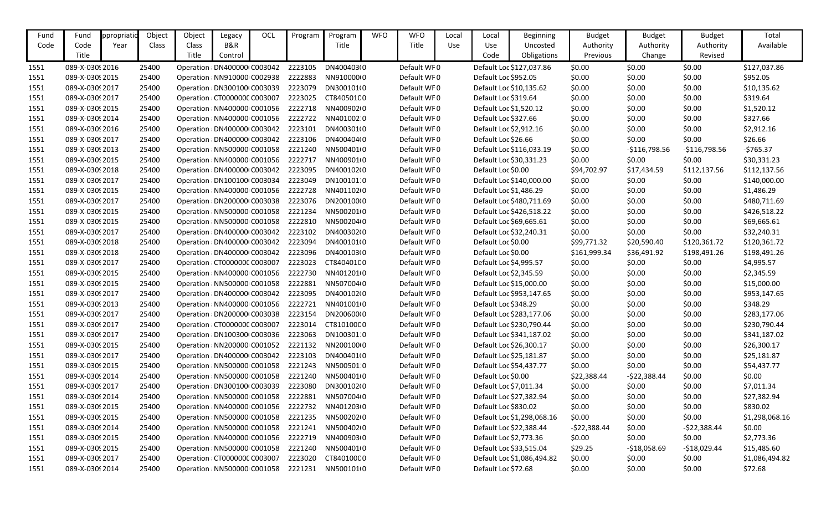| B&R<br>Title<br>Code<br>Title<br>Use<br>Available<br>Code<br>Year<br>Class<br>Class<br><b>Use</b><br>Uncosted<br>Authority<br>Authority<br>Authority<br>Title<br>Title<br>Obligations<br>Revised<br>Control<br>Code<br>Previous<br>Change<br>\$0.00<br>089-X-0309 2016<br>Operation : DN4000001 C003042<br>DN400403(0<br>Default WF0<br>\$0.00<br>\$0.00<br>\$127,037.86<br>25400<br>2223105<br>Default Loc \$127,037.86<br>2222883<br>NN91000010<br>Default WF0<br>\$0.00<br>\$0.00<br>\$0.00<br>\$952.05<br>089-X-0309 2015<br>25400<br>Operation : NN910000 C002938<br>Default Loc \$952.05<br>1551<br>2223079<br>\$10,135.62<br>25400<br>DN300101(0<br>Default WF0<br>\$0.00<br>\$0.00<br>089-X-03092017<br>Operation : DN300100 (C003039<br>Default Loc \$10,135.62<br>\$0.00<br>1551<br>\$0.00<br>089-X-0309 2017<br>25400<br>Operation : CT000000C C003007<br>2223025<br>CT84050100<br>Default WF0<br>Default Loc \$319.64<br>\$0.00<br>\$0.00<br>\$319.64<br>1551<br>NN40090210<br>Default WF0<br>\$0.00<br>\$0.00<br>089-X-0309 2015<br>25400<br>Operation : NN400000 C001056<br>2222718<br>Default Loc \$1,520.12<br>\$0.00<br>\$1,520.12<br>1551<br>Default WF0<br>Default Loc \$327.66<br>\$0.00<br>\$0.00<br>\$327.66<br>089-X-03092014<br>25400<br>Operation : NN400000 C001056<br>2222722<br>NN401002 0<br>\$0.00<br>1551<br>DN400301(0<br>Default WF0<br>\$0.00<br>\$0.00<br>\$0.00<br>\$2,912.16<br>089-X-03092016<br>25400<br>Operation : DN400000 C003042<br>2223101<br>Default Loc \$2,912.16<br>1551<br>25400<br>2223106<br>DN400404(0<br>Default WF0<br>\$0.00<br>\$0.00<br>\$0.00<br>\$26.66<br>089-X-03092017<br>Operation : DN400000 C003042<br>Default Loc \$26.66<br>1551<br>\$0.00<br>$-5765.37$<br>089-X-03092013<br>25400<br>Operation : NN500000 C001058<br>2221240<br>NN5004010<br>Default WF0<br>Default Loc \$116,033.19<br>$-$116,798.56$<br>$-$116,798.56$<br>1551<br>2222717<br>NN4009010<br>Default WF0<br>\$0.00<br>\$0.00<br>\$30,331.23<br>089-X-03092015<br>25400<br>Operation : NN400000 C001056<br>Default Loc \$30,331.23<br>\$0.00<br>1551<br>Default WF0<br>\$112,137.56<br>089-X-03092018<br>25400<br>Operation : DN400000 C003042<br>2223095<br>DN400102(0<br>Default Loc \$0.00<br>\$94,702.97<br>\$17,434.59<br>\$112,137.56<br>1551<br>2223049<br>DN100101:0<br>Default WF0<br>\$0.00<br>\$0.00<br>089-X-03092017<br>25400<br>Operation : DN1001001 C003034<br>Default Loc \$140,000.00<br>\$0.00<br>\$140,000.00<br>1551<br>25400<br>2222728<br>NN401102(0<br>Default WF0<br>\$0.00<br>\$0.00<br>\$0.00<br>\$1,486.29<br>089-X-03092015<br>Operation : NN400000 C001056<br>Default Loc \$1,486.29<br>1551<br>2223076<br>\$0.00<br>\$0.00<br>089-X-0309 2017<br>25400<br>Operation : DN200000 C003038<br>DN200100(0<br>Default WF0<br>Default Loc \$480,711.69<br>\$0.00<br>\$480,711.69<br>1551<br>25400<br>NN5002010<br>Default WF0<br>\$0.00<br>\$0.00<br>\$426,518.22<br>089-X-03092015<br>Operation : NN500000 C001058<br>2221234<br>Default Loc \$426,518.22<br>\$0.00<br>1551<br>NN500204(0<br>Default WF0<br>\$0.00<br>\$69,665.61<br>089-X-03092015<br>25400<br>Operation : NN500000 C001058<br>2222810<br>Default Loc \$69,665.61<br>\$0.00<br>\$0.00<br>1551<br>089-X-03092017<br>Operation : DN400000 C003042<br>2223102<br>DN400302(0<br>Default WF0<br>\$0.00<br>\$0.00<br>\$0.00<br>\$32,240.31<br>1551<br>25400<br>Default Loc \$32,240.31<br>2223094<br>DN400101(0<br>Default WF0<br>\$99,771.32<br>\$20,590.40<br>\$120,361.72<br>\$120,361.72<br>089-X-03092018<br>25400<br>Operation : DN400000 C003042<br>Default Loc \$0.00<br>1551<br>2223096<br>089-X-03092018<br>25400<br>DN400103(0<br>Default WF0<br>Default Loc \$0.00<br>\$161,999.34<br>\$36,491.92<br>\$198,491.26<br>\$198,491.26<br>Operation : DN400000 C003042<br>1551<br>CT84040100<br>Default WF0<br>\$0.00<br>089-X-0309 2017<br>25400<br>Operation : CT000000C C003007<br>2223023<br>Default Loc \$4,995.57<br>\$0.00<br>\$0.00<br>\$4,995.57<br>1551<br>NN4012010<br>Default WF0<br>\$0.00<br>\$0.00<br>\$2,345.59<br>089-X-03092015<br>25400<br>Operation : NN400000 C001056<br>2222730<br>Default Loc \$2,345.59<br>\$0.00<br>1551<br>2222881<br>NN507004(0<br>Default WF0<br>\$0.00<br>\$0.00<br>\$0.00<br>\$15,000.00<br>089-X-03092015<br>25400<br>Operation : NN500000 C001058<br>Default Loc \$15,000.00<br>1551<br>DN400102(0<br>Default WF0<br>\$0.00<br>089-X-03092017<br>25400<br>Operation : DN400000 C003042<br>2223095<br>Default Loc \$953,147.65<br>\$0.00<br>\$0.00<br>\$953,147.65<br>1551<br>\$0.00<br>\$348.29<br>089-X-0309 2013<br>25400<br>2222721<br>NN401001(0<br>Default WF0<br>Default Loc \$348.29<br>\$0.00<br>\$0.00<br>Operation : NN400000 C001056<br>1551<br>Default WF0<br>\$0.00<br>\$0.00<br>\$283,177.06<br>089-X-0309 2017<br>25400<br>Operation : DN200000 C003038<br>2223154<br>DN200600(0<br>Default Loc \$283,177.06<br>\$0.00<br>1551<br>2223014<br>CT81010000<br>Default WF0<br>\$0.00<br>\$0.00<br>\$230,790.44<br>089-X-0309 2017<br>25400<br>Operation : CT000000C C003007<br>Default Loc \$230,790.44<br>\$0.00<br>1551<br>\$0.00<br>089-X-0309 2017<br>25400<br>Operation : DN100300 C003036<br>2223063<br>DN100301:0<br>Default WF0<br>Default Loc \$341,187.02<br>\$0.00<br>\$0.00<br>\$341,187.02<br>1551<br>\$0.00<br>089-X-03092015<br>25400<br>Operation : NN200000 C001052<br>2221132<br>NN20010000<br>Default WF0<br>Default Loc \$26,300.17<br>\$0.00<br>\$0.00<br>\$26,300.17<br>1551<br>\$0.00<br>\$25,181.87<br>089-X-03092017<br>25400<br>Operation : DN400000 C003042<br>DN400401(0<br>Default WF0<br>Default Loc \$25,181.87<br>\$0.00<br>\$0.00<br>1551<br>2223103<br>Default WF0<br>089-X-03092015<br>Operation : NN500000 C001058<br>2221243<br>NN5005010<br>Default Loc \$54,437.77<br>\$0.00<br>\$0.00<br>\$0.00<br>\$54,437.77<br>1551<br>25400<br>NN5004010<br>\$0.00<br>\$0.00<br>089-X-03092014<br>25400<br>2221240<br>Default WF0<br>Default Loc \$0.00<br>\$22,388.44<br>$-522,388.44$<br>Operation : NN500000 C001058<br>089-X-03092017<br>2223080<br>DN300102(0<br>Default WF0<br>Default Loc \$7,011.34<br>\$0.00<br>\$0.00<br>\$0.00<br>\$7,011.34<br>25400<br>Operation : DN300100 C003039<br>NN507004(0<br>Default WF0<br>\$0.00<br>089-X-03092014<br>25400<br>Operation : NN500000 C001058<br>2222881<br>Default Loc \$27,382.94<br>\$0.00<br>\$0.00<br>\$27,382.94<br>\$0.00<br>\$830.02<br>089-X-03092015<br>Operation : NN400000 C001056<br>2222732<br>NN401203(0<br>Default WF0<br>Default Loc \$830.02<br>\$0.00<br>\$0.00<br>25400<br>089-X-03092015<br>Operation : NN500000 C001058<br>2221235<br>NN50020210<br>Default WF0<br>\$0.00<br>\$0.00<br>\$0.00<br>\$1,298,068.16<br>25400<br>Default Loc \$1,298,068.16<br>NN500402(0<br>Default WF0<br>\$0.00<br>089-X-03092014<br>25400<br>Operation : NN500000 C001058<br>2221241<br>Default Loc \$22,388.44<br>$-522,388.44$<br>\$0.00<br>$-522,388.44$ | Fund | Fund | ppropriati | Object | Object | Legacy | <b>OCL</b> | Program | Program | <b>WFO</b> | <b>WFO</b> | Local | Local | <b>Beginning</b> | <b>Budget</b> | <b>Budget</b> | <b>Budget</b> | Total |
|---------------------------------------------------------------------------------------------------------------------------------------------------------------------------------------------------------------------------------------------------------------------------------------------------------------------------------------------------------------------------------------------------------------------------------------------------------------------------------------------------------------------------------------------------------------------------------------------------------------------------------------------------------------------------------------------------------------------------------------------------------------------------------------------------------------------------------------------------------------------------------------------------------------------------------------------------------------------------------------------------------------------------------------------------------------------------------------------------------------------------------------------------------------------------------------------------------------------------------------------------------------------------------------------------------------------------------------------------------------------------------------------------------------------------------------------------------------------------------------------------------------------------------------------------------------------------------------------------------------------------------------------------------------------------------------------------------------------------------------------------------------------------------------------------------------------------------------------------------------------------------------------------------------------------------------------------------------------------------------------------------------------------------------------------------------------------------------------------------------------------------------------------------------------------------------------------------------------------------------------------------------------------------------------------------------------------------------------------------------------------------------------------------------------------------------------------------------------------------------------------------------------------------------------------------------------------------------------------------------------------------------------------------------------------------------------------------------------------------------------------------------------------------------------------------------------------------------------------------------------------------------------------------------------------------------------------------------------------------------------------------------------------------------------------------------------------------------------------------------------------------------------------------------------------------------------------------------------------------------------------------------------------------------------------------------------------------------------------------------------------------------------------------------------------------------------------------------------------------------------------------------------------------------------------------------------------------------------------------------------------------------------------------------------------------------------------------------------------------------------------------------------------------------------------------------------------------------------------------------------------------------------------------------------------------------------------------------------------------------------------------------------------------------------------------------------------------------------------------------------------------------------------------------------------------------------------------------------------------------------------------------------------------------------------------------------------------------------------------------------------------------------------------------------------------------------------------------------------------------------------------------------------------------------------------------------------------------------------------------------------------------------------------------------------------------------------------------------------------------------------------------------------------------------------------------------------------------------------------------------------------------------------------------------------------------------------------------------------------------------------------------------------------------------------------------------------------------------------------------------------------------------------------------------------------------------------------------------------------------------------------------------------------------------------------------------------------------------------------------------------------------------------------------------------------------------------------------------------------------------------------------------------------------------------------------------------------------------------------------------------------------------------------------------------------------------------------------------------------------------------------------------------------------------------------------------------------------------------------------------------------------------------------------------------------------------------------------------------------------------------------------------------------------------------------------------------------------------------------------------------------------------------------------------------------------------------------------------------------------------------------------------------------------------------------------------------------------------------------------------------------------------------------------------------------------------------------------------------------------------------------------------------------------------------------------------------------------------------------------------------------------------------------------------------------------------------------------------------------------------------------------------------------------------------------------------------------------------------------------------------------------------------------------------------------------------|------|------|------------|--------|--------|--------|------------|---------|---------|------------|------------|-------|-------|------------------|---------------|---------------|---------------|-------|
| 1551<br>1551<br>1551<br>1551<br>1551<br>1551<br>1551                                                                                                                                                                                                                                                                                                                                                                                                                                                                                                                                                                                                                                                                                                                                                                                                                                                                                                                                                                                                                                                                                                                                                                                                                                                                                                                                                                                                                                                                                                                                                                                                                                                                                                                                                                                                                                                                                                                                                                                                                                                                                                                                                                                                                                                                                                                                                                                                                                                                                                                                                                                                                                                                                                                                                                                                                                                                                                                                                                                                                                                                                                                                                                                                                                                                                                                                                                                                                                                                                                                                                                                                                                                                                                                                                                                                                                                                                                                                                                                                                                                                                                                                                                                                                                                                                                                                                                                                                                                                                                                                                                                                                                                                                                                                                                                                                                                                                                                                                                                                                                                                                                                                                                                                                                                                                                                                                                                                                                                                                                                                                                                                                                                                                                                                                                                                                                                                                                                                                                                                                                                                                                                                                                                                                                                                                                                                                                                                                                                                                                                                                                                                                                                                                                                                                                                                                                                                                        |      |      |            |        |        |        |            |         |         |            |            |       |       |                  |               |               |               |       |
|                                                                                                                                                                                                                                                                                                                                                                                                                                                                                                                                                                                                                                                                                                                                                                                                                                                                                                                                                                                                                                                                                                                                                                                                                                                                                                                                                                                                                                                                                                                                                                                                                                                                                                                                                                                                                                                                                                                                                                                                                                                                                                                                                                                                                                                                                                                                                                                                                                                                                                                                                                                                                                                                                                                                                                                                                                                                                                                                                                                                                                                                                                                                                                                                                                                                                                                                                                                                                                                                                                                                                                                                                                                                                                                                                                                                                                                                                                                                                                                                                                                                                                                                                                                                                                                                                                                                                                                                                                                                                                                                                                                                                                                                                                                                                                                                                                                                                                                                                                                                                                                                                                                                                                                                                                                                                                                                                                                                                                                                                                                                                                                                                                                                                                                                                                                                                                                                                                                                                                                                                                                                                                                                                                                                                                                                                                                                                                                                                                                                                                                                                                                                                                                                                                                                                                                                                                                                                                                                             |      |      |            |        |        |        |            |         |         |            |            |       |       |                  |               |               |               |       |
|                                                                                                                                                                                                                                                                                                                                                                                                                                                                                                                                                                                                                                                                                                                                                                                                                                                                                                                                                                                                                                                                                                                                                                                                                                                                                                                                                                                                                                                                                                                                                                                                                                                                                                                                                                                                                                                                                                                                                                                                                                                                                                                                                                                                                                                                                                                                                                                                                                                                                                                                                                                                                                                                                                                                                                                                                                                                                                                                                                                                                                                                                                                                                                                                                                                                                                                                                                                                                                                                                                                                                                                                                                                                                                                                                                                                                                                                                                                                                                                                                                                                                                                                                                                                                                                                                                                                                                                                                                                                                                                                                                                                                                                                                                                                                                                                                                                                                                                                                                                                                                                                                                                                                                                                                                                                                                                                                                                                                                                                                                                                                                                                                                                                                                                                                                                                                                                                                                                                                                                                                                                                                                                                                                                                                                                                                                                                                                                                                                                                                                                                                                                                                                                                                                                                                                                                                                                                                                                                             |      |      |            |        |        |        |            |         |         |            |            |       |       |                  |               |               |               |       |
|                                                                                                                                                                                                                                                                                                                                                                                                                                                                                                                                                                                                                                                                                                                                                                                                                                                                                                                                                                                                                                                                                                                                                                                                                                                                                                                                                                                                                                                                                                                                                                                                                                                                                                                                                                                                                                                                                                                                                                                                                                                                                                                                                                                                                                                                                                                                                                                                                                                                                                                                                                                                                                                                                                                                                                                                                                                                                                                                                                                                                                                                                                                                                                                                                                                                                                                                                                                                                                                                                                                                                                                                                                                                                                                                                                                                                                                                                                                                                                                                                                                                                                                                                                                                                                                                                                                                                                                                                                                                                                                                                                                                                                                                                                                                                                                                                                                                                                                                                                                                                                                                                                                                                                                                                                                                                                                                                                                                                                                                                                                                                                                                                                                                                                                                                                                                                                                                                                                                                                                                                                                                                                                                                                                                                                                                                                                                                                                                                                                                                                                                                                                                                                                                                                                                                                                                                                                                                                                                             |      |      |            |        |        |        |            |         |         |            |            |       |       |                  |               |               |               |       |
|                                                                                                                                                                                                                                                                                                                                                                                                                                                                                                                                                                                                                                                                                                                                                                                                                                                                                                                                                                                                                                                                                                                                                                                                                                                                                                                                                                                                                                                                                                                                                                                                                                                                                                                                                                                                                                                                                                                                                                                                                                                                                                                                                                                                                                                                                                                                                                                                                                                                                                                                                                                                                                                                                                                                                                                                                                                                                                                                                                                                                                                                                                                                                                                                                                                                                                                                                                                                                                                                                                                                                                                                                                                                                                                                                                                                                                                                                                                                                                                                                                                                                                                                                                                                                                                                                                                                                                                                                                                                                                                                                                                                                                                                                                                                                                                                                                                                                                                                                                                                                                                                                                                                                                                                                                                                                                                                                                                                                                                                                                                                                                                                                                                                                                                                                                                                                                                                                                                                                                                                                                                                                                                                                                                                                                                                                                                                                                                                                                                                                                                                                                                                                                                                                                                                                                                                                                                                                                                                             |      |      |            |        |        |        |            |         |         |            |            |       |       |                  |               |               |               |       |
|                                                                                                                                                                                                                                                                                                                                                                                                                                                                                                                                                                                                                                                                                                                                                                                                                                                                                                                                                                                                                                                                                                                                                                                                                                                                                                                                                                                                                                                                                                                                                                                                                                                                                                                                                                                                                                                                                                                                                                                                                                                                                                                                                                                                                                                                                                                                                                                                                                                                                                                                                                                                                                                                                                                                                                                                                                                                                                                                                                                                                                                                                                                                                                                                                                                                                                                                                                                                                                                                                                                                                                                                                                                                                                                                                                                                                                                                                                                                                                                                                                                                                                                                                                                                                                                                                                                                                                                                                                                                                                                                                                                                                                                                                                                                                                                                                                                                                                                                                                                                                                                                                                                                                                                                                                                                                                                                                                                                                                                                                                                                                                                                                                                                                                                                                                                                                                                                                                                                                                                                                                                                                                                                                                                                                                                                                                                                                                                                                                                                                                                                                                                                                                                                                                                                                                                                                                                                                                                                             |      |      |            |        |        |        |            |         |         |            |            |       |       |                  |               |               |               |       |
|                                                                                                                                                                                                                                                                                                                                                                                                                                                                                                                                                                                                                                                                                                                                                                                                                                                                                                                                                                                                                                                                                                                                                                                                                                                                                                                                                                                                                                                                                                                                                                                                                                                                                                                                                                                                                                                                                                                                                                                                                                                                                                                                                                                                                                                                                                                                                                                                                                                                                                                                                                                                                                                                                                                                                                                                                                                                                                                                                                                                                                                                                                                                                                                                                                                                                                                                                                                                                                                                                                                                                                                                                                                                                                                                                                                                                                                                                                                                                                                                                                                                                                                                                                                                                                                                                                                                                                                                                                                                                                                                                                                                                                                                                                                                                                                                                                                                                                                                                                                                                                                                                                                                                                                                                                                                                                                                                                                                                                                                                                                                                                                                                                                                                                                                                                                                                                                                                                                                                                                                                                                                                                                                                                                                                                                                                                                                                                                                                                                                                                                                                                                                                                                                                                                                                                                                                                                                                                                                             |      |      |            |        |        |        |            |         |         |            |            |       |       |                  |               |               |               |       |
|                                                                                                                                                                                                                                                                                                                                                                                                                                                                                                                                                                                                                                                                                                                                                                                                                                                                                                                                                                                                                                                                                                                                                                                                                                                                                                                                                                                                                                                                                                                                                                                                                                                                                                                                                                                                                                                                                                                                                                                                                                                                                                                                                                                                                                                                                                                                                                                                                                                                                                                                                                                                                                                                                                                                                                                                                                                                                                                                                                                                                                                                                                                                                                                                                                                                                                                                                                                                                                                                                                                                                                                                                                                                                                                                                                                                                                                                                                                                                                                                                                                                                                                                                                                                                                                                                                                                                                                                                                                                                                                                                                                                                                                                                                                                                                                                                                                                                                                                                                                                                                                                                                                                                                                                                                                                                                                                                                                                                                                                                                                                                                                                                                                                                                                                                                                                                                                                                                                                                                                                                                                                                                                                                                                                                                                                                                                                                                                                                                                                                                                                                                                                                                                                                                                                                                                                                                                                                                                                             |      |      |            |        |        |        |            |         |         |            |            |       |       |                  |               |               |               |       |
|                                                                                                                                                                                                                                                                                                                                                                                                                                                                                                                                                                                                                                                                                                                                                                                                                                                                                                                                                                                                                                                                                                                                                                                                                                                                                                                                                                                                                                                                                                                                                                                                                                                                                                                                                                                                                                                                                                                                                                                                                                                                                                                                                                                                                                                                                                                                                                                                                                                                                                                                                                                                                                                                                                                                                                                                                                                                                                                                                                                                                                                                                                                                                                                                                                                                                                                                                                                                                                                                                                                                                                                                                                                                                                                                                                                                                                                                                                                                                                                                                                                                                                                                                                                                                                                                                                                                                                                                                                                                                                                                                                                                                                                                                                                                                                                                                                                                                                                                                                                                                                                                                                                                                                                                                                                                                                                                                                                                                                                                                                                                                                                                                                                                                                                                                                                                                                                                                                                                                                                                                                                                                                                                                                                                                                                                                                                                                                                                                                                                                                                                                                                                                                                                                                                                                                                                                                                                                                                                             |      |      |            |        |        |        |            |         |         |            |            |       |       |                  |               |               |               |       |
|                                                                                                                                                                                                                                                                                                                                                                                                                                                                                                                                                                                                                                                                                                                                                                                                                                                                                                                                                                                                                                                                                                                                                                                                                                                                                                                                                                                                                                                                                                                                                                                                                                                                                                                                                                                                                                                                                                                                                                                                                                                                                                                                                                                                                                                                                                                                                                                                                                                                                                                                                                                                                                                                                                                                                                                                                                                                                                                                                                                                                                                                                                                                                                                                                                                                                                                                                                                                                                                                                                                                                                                                                                                                                                                                                                                                                                                                                                                                                                                                                                                                                                                                                                                                                                                                                                                                                                                                                                                                                                                                                                                                                                                                                                                                                                                                                                                                                                                                                                                                                                                                                                                                                                                                                                                                                                                                                                                                                                                                                                                                                                                                                                                                                                                                                                                                                                                                                                                                                                                                                                                                                                                                                                                                                                                                                                                                                                                                                                                                                                                                                                                                                                                                                                                                                                                                                                                                                                                                             |      |      |            |        |        |        |            |         |         |            |            |       |       |                  |               |               |               |       |
|                                                                                                                                                                                                                                                                                                                                                                                                                                                                                                                                                                                                                                                                                                                                                                                                                                                                                                                                                                                                                                                                                                                                                                                                                                                                                                                                                                                                                                                                                                                                                                                                                                                                                                                                                                                                                                                                                                                                                                                                                                                                                                                                                                                                                                                                                                                                                                                                                                                                                                                                                                                                                                                                                                                                                                                                                                                                                                                                                                                                                                                                                                                                                                                                                                                                                                                                                                                                                                                                                                                                                                                                                                                                                                                                                                                                                                                                                                                                                                                                                                                                                                                                                                                                                                                                                                                                                                                                                                                                                                                                                                                                                                                                                                                                                                                                                                                                                                                                                                                                                                                                                                                                                                                                                                                                                                                                                                                                                                                                                                                                                                                                                                                                                                                                                                                                                                                                                                                                                                                                                                                                                                                                                                                                                                                                                                                                                                                                                                                                                                                                                                                                                                                                                                                                                                                                                                                                                                                                             |      |      |            |        |        |        |            |         |         |            |            |       |       |                  |               |               |               |       |
|                                                                                                                                                                                                                                                                                                                                                                                                                                                                                                                                                                                                                                                                                                                                                                                                                                                                                                                                                                                                                                                                                                                                                                                                                                                                                                                                                                                                                                                                                                                                                                                                                                                                                                                                                                                                                                                                                                                                                                                                                                                                                                                                                                                                                                                                                                                                                                                                                                                                                                                                                                                                                                                                                                                                                                                                                                                                                                                                                                                                                                                                                                                                                                                                                                                                                                                                                                                                                                                                                                                                                                                                                                                                                                                                                                                                                                                                                                                                                                                                                                                                                                                                                                                                                                                                                                                                                                                                                                                                                                                                                                                                                                                                                                                                                                                                                                                                                                                                                                                                                                                                                                                                                                                                                                                                                                                                                                                                                                                                                                                                                                                                                                                                                                                                                                                                                                                                                                                                                                                                                                                                                                                                                                                                                                                                                                                                                                                                                                                                                                                                                                                                                                                                                                                                                                                                                                                                                                                                             |      |      |            |        |        |        |            |         |         |            |            |       |       |                  |               |               |               |       |
|                                                                                                                                                                                                                                                                                                                                                                                                                                                                                                                                                                                                                                                                                                                                                                                                                                                                                                                                                                                                                                                                                                                                                                                                                                                                                                                                                                                                                                                                                                                                                                                                                                                                                                                                                                                                                                                                                                                                                                                                                                                                                                                                                                                                                                                                                                                                                                                                                                                                                                                                                                                                                                                                                                                                                                                                                                                                                                                                                                                                                                                                                                                                                                                                                                                                                                                                                                                                                                                                                                                                                                                                                                                                                                                                                                                                                                                                                                                                                                                                                                                                                                                                                                                                                                                                                                                                                                                                                                                                                                                                                                                                                                                                                                                                                                                                                                                                                                                                                                                                                                                                                                                                                                                                                                                                                                                                                                                                                                                                                                                                                                                                                                                                                                                                                                                                                                                                                                                                                                                                                                                                                                                                                                                                                                                                                                                                                                                                                                                                                                                                                                                                                                                                                                                                                                                                                                                                                                                                             |      |      |            |        |        |        |            |         |         |            |            |       |       |                  |               |               |               |       |
|                                                                                                                                                                                                                                                                                                                                                                                                                                                                                                                                                                                                                                                                                                                                                                                                                                                                                                                                                                                                                                                                                                                                                                                                                                                                                                                                                                                                                                                                                                                                                                                                                                                                                                                                                                                                                                                                                                                                                                                                                                                                                                                                                                                                                                                                                                                                                                                                                                                                                                                                                                                                                                                                                                                                                                                                                                                                                                                                                                                                                                                                                                                                                                                                                                                                                                                                                                                                                                                                                                                                                                                                                                                                                                                                                                                                                                                                                                                                                                                                                                                                                                                                                                                                                                                                                                                                                                                                                                                                                                                                                                                                                                                                                                                                                                                                                                                                                                                                                                                                                                                                                                                                                                                                                                                                                                                                                                                                                                                                                                                                                                                                                                                                                                                                                                                                                                                                                                                                                                                                                                                                                                                                                                                                                                                                                                                                                                                                                                                                                                                                                                                                                                                                                                                                                                                                                                                                                                                                             |      |      |            |        |        |        |            |         |         |            |            |       |       |                  |               |               |               |       |
|                                                                                                                                                                                                                                                                                                                                                                                                                                                                                                                                                                                                                                                                                                                                                                                                                                                                                                                                                                                                                                                                                                                                                                                                                                                                                                                                                                                                                                                                                                                                                                                                                                                                                                                                                                                                                                                                                                                                                                                                                                                                                                                                                                                                                                                                                                                                                                                                                                                                                                                                                                                                                                                                                                                                                                                                                                                                                                                                                                                                                                                                                                                                                                                                                                                                                                                                                                                                                                                                                                                                                                                                                                                                                                                                                                                                                                                                                                                                                                                                                                                                                                                                                                                                                                                                                                                                                                                                                                                                                                                                                                                                                                                                                                                                                                                                                                                                                                                                                                                                                                                                                                                                                                                                                                                                                                                                                                                                                                                                                                                                                                                                                                                                                                                                                                                                                                                                                                                                                                                                                                                                                                                                                                                                                                                                                                                                                                                                                                                                                                                                                                                                                                                                                                                                                                                                                                                                                                                                             |      |      |            |        |        |        |            |         |         |            |            |       |       |                  |               |               |               |       |
|                                                                                                                                                                                                                                                                                                                                                                                                                                                                                                                                                                                                                                                                                                                                                                                                                                                                                                                                                                                                                                                                                                                                                                                                                                                                                                                                                                                                                                                                                                                                                                                                                                                                                                                                                                                                                                                                                                                                                                                                                                                                                                                                                                                                                                                                                                                                                                                                                                                                                                                                                                                                                                                                                                                                                                                                                                                                                                                                                                                                                                                                                                                                                                                                                                                                                                                                                                                                                                                                                                                                                                                                                                                                                                                                                                                                                                                                                                                                                                                                                                                                                                                                                                                                                                                                                                                                                                                                                                                                                                                                                                                                                                                                                                                                                                                                                                                                                                                                                                                                                                                                                                                                                                                                                                                                                                                                                                                                                                                                                                                                                                                                                                                                                                                                                                                                                                                                                                                                                                                                                                                                                                                                                                                                                                                                                                                                                                                                                                                                                                                                                                                                                                                                                                                                                                                                                                                                                                                                             |      |      |            |        |        |        |            |         |         |            |            |       |       |                  |               |               |               |       |
|                                                                                                                                                                                                                                                                                                                                                                                                                                                                                                                                                                                                                                                                                                                                                                                                                                                                                                                                                                                                                                                                                                                                                                                                                                                                                                                                                                                                                                                                                                                                                                                                                                                                                                                                                                                                                                                                                                                                                                                                                                                                                                                                                                                                                                                                                                                                                                                                                                                                                                                                                                                                                                                                                                                                                                                                                                                                                                                                                                                                                                                                                                                                                                                                                                                                                                                                                                                                                                                                                                                                                                                                                                                                                                                                                                                                                                                                                                                                                                                                                                                                                                                                                                                                                                                                                                                                                                                                                                                                                                                                                                                                                                                                                                                                                                                                                                                                                                                                                                                                                                                                                                                                                                                                                                                                                                                                                                                                                                                                                                                                                                                                                                                                                                                                                                                                                                                                                                                                                                                                                                                                                                                                                                                                                                                                                                                                                                                                                                                                                                                                                                                                                                                                                                                                                                                                                                                                                                                                             |      |      |            |        |        |        |            |         |         |            |            |       |       |                  |               |               |               |       |
|                                                                                                                                                                                                                                                                                                                                                                                                                                                                                                                                                                                                                                                                                                                                                                                                                                                                                                                                                                                                                                                                                                                                                                                                                                                                                                                                                                                                                                                                                                                                                                                                                                                                                                                                                                                                                                                                                                                                                                                                                                                                                                                                                                                                                                                                                                                                                                                                                                                                                                                                                                                                                                                                                                                                                                                                                                                                                                                                                                                                                                                                                                                                                                                                                                                                                                                                                                                                                                                                                                                                                                                                                                                                                                                                                                                                                                                                                                                                                                                                                                                                                                                                                                                                                                                                                                                                                                                                                                                                                                                                                                                                                                                                                                                                                                                                                                                                                                                                                                                                                                                                                                                                                                                                                                                                                                                                                                                                                                                                                                                                                                                                                                                                                                                                                                                                                                                                                                                                                                                                                                                                                                                                                                                                                                                                                                                                                                                                                                                                                                                                                                                                                                                                                                                                                                                                                                                                                                                                             |      |      |            |        |        |        |            |         |         |            |            |       |       |                  |               |               |               |       |
|                                                                                                                                                                                                                                                                                                                                                                                                                                                                                                                                                                                                                                                                                                                                                                                                                                                                                                                                                                                                                                                                                                                                                                                                                                                                                                                                                                                                                                                                                                                                                                                                                                                                                                                                                                                                                                                                                                                                                                                                                                                                                                                                                                                                                                                                                                                                                                                                                                                                                                                                                                                                                                                                                                                                                                                                                                                                                                                                                                                                                                                                                                                                                                                                                                                                                                                                                                                                                                                                                                                                                                                                                                                                                                                                                                                                                                                                                                                                                                                                                                                                                                                                                                                                                                                                                                                                                                                                                                                                                                                                                                                                                                                                                                                                                                                                                                                                                                                                                                                                                                                                                                                                                                                                                                                                                                                                                                                                                                                                                                                                                                                                                                                                                                                                                                                                                                                                                                                                                                                                                                                                                                                                                                                                                                                                                                                                                                                                                                                                                                                                                                                                                                                                                                                                                                                                                                                                                                                                             |      |      |            |        |        |        |            |         |         |            |            |       |       |                  |               |               |               |       |
|                                                                                                                                                                                                                                                                                                                                                                                                                                                                                                                                                                                                                                                                                                                                                                                                                                                                                                                                                                                                                                                                                                                                                                                                                                                                                                                                                                                                                                                                                                                                                                                                                                                                                                                                                                                                                                                                                                                                                                                                                                                                                                                                                                                                                                                                                                                                                                                                                                                                                                                                                                                                                                                                                                                                                                                                                                                                                                                                                                                                                                                                                                                                                                                                                                                                                                                                                                                                                                                                                                                                                                                                                                                                                                                                                                                                                                                                                                                                                                                                                                                                                                                                                                                                                                                                                                                                                                                                                                                                                                                                                                                                                                                                                                                                                                                                                                                                                                                                                                                                                                                                                                                                                                                                                                                                                                                                                                                                                                                                                                                                                                                                                                                                                                                                                                                                                                                                                                                                                                                                                                                                                                                                                                                                                                                                                                                                                                                                                                                                                                                                                                                                                                                                                                                                                                                                                                                                                                                                             |      |      |            |        |        |        |            |         |         |            |            |       |       |                  |               |               |               |       |
|                                                                                                                                                                                                                                                                                                                                                                                                                                                                                                                                                                                                                                                                                                                                                                                                                                                                                                                                                                                                                                                                                                                                                                                                                                                                                                                                                                                                                                                                                                                                                                                                                                                                                                                                                                                                                                                                                                                                                                                                                                                                                                                                                                                                                                                                                                                                                                                                                                                                                                                                                                                                                                                                                                                                                                                                                                                                                                                                                                                                                                                                                                                                                                                                                                                                                                                                                                                                                                                                                                                                                                                                                                                                                                                                                                                                                                                                                                                                                                                                                                                                                                                                                                                                                                                                                                                                                                                                                                                                                                                                                                                                                                                                                                                                                                                                                                                                                                                                                                                                                                                                                                                                                                                                                                                                                                                                                                                                                                                                                                                                                                                                                                                                                                                                                                                                                                                                                                                                                                                                                                                                                                                                                                                                                                                                                                                                                                                                                                                                                                                                                                                                                                                                                                                                                                                                                                                                                                                                             |      |      |            |        |        |        |            |         |         |            |            |       |       |                  |               |               |               |       |
|                                                                                                                                                                                                                                                                                                                                                                                                                                                                                                                                                                                                                                                                                                                                                                                                                                                                                                                                                                                                                                                                                                                                                                                                                                                                                                                                                                                                                                                                                                                                                                                                                                                                                                                                                                                                                                                                                                                                                                                                                                                                                                                                                                                                                                                                                                                                                                                                                                                                                                                                                                                                                                                                                                                                                                                                                                                                                                                                                                                                                                                                                                                                                                                                                                                                                                                                                                                                                                                                                                                                                                                                                                                                                                                                                                                                                                                                                                                                                                                                                                                                                                                                                                                                                                                                                                                                                                                                                                                                                                                                                                                                                                                                                                                                                                                                                                                                                                                                                                                                                                                                                                                                                                                                                                                                                                                                                                                                                                                                                                                                                                                                                                                                                                                                                                                                                                                                                                                                                                                                                                                                                                                                                                                                                                                                                                                                                                                                                                                                                                                                                                                                                                                                                                                                                                                                                                                                                                                                             |      |      |            |        |        |        |            |         |         |            |            |       |       |                  |               |               |               |       |
|                                                                                                                                                                                                                                                                                                                                                                                                                                                                                                                                                                                                                                                                                                                                                                                                                                                                                                                                                                                                                                                                                                                                                                                                                                                                                                                                                                                                                                                                                                                                                                                                                                                                                                                                                                                                                                                                                                                                                                                                                                                                                                                                                                                                                                                                                                                                                                                                                                                                                                                                                                                                                                                                                                                                                                                                                                                                                                                                                                                                                                                                                                                                                                                                                                                                                                                                                                                                                                                                                                                                                                                                                                                                                                                                                                                                                                                                                                                                                                                                                                                                                                                                                                                                                                                                                                                                                                                                                                                                                                                                                                                                                                                                                                                                                                                                                                                                                                                                                                                                                                                                                                                                                                                                                                                                                                                                                                                                                                                                                                                                                                                                                                                                                                                                                                                                                                                                                                                                                                                                                                                                                                                                                                                                                                                                                                                                                                                                                                                                                                                                                                                                                                                                                                                                                                                                                                                                                                                                             |      |      |            |        |        |        |            |         |         |            |            |       |       |                  |               |               |               |       |
|                                                                                                                                                                                                                                                                                                                                                                                                                                                                                                                                                                                                                                                                                                                                                                                                                                                                                                                                                                                                                                                                                                                                                                                                                                                                                                                                                                                                                                                                                                                                                                                                                                                                                                                                                                                                                                                                                                                                                                                                                                                                                                                                                                                                                                                                                                                                                                                                                                                                                                                                                                                                                                                                                                                                                                                                                                                                                                                                                                                                                                                                                                                                                                                                                                                                                                                                                                                                                                                                                                                                                                                                                                                                                                                                                                                                                                                                                                                                                                                                                                                                                                                                                                                                                                                                                                                                                                                                                                                                                                                                                                                                                                                                                                                                                                                                                                                                                                                                                                                                                                                                                                                                                                                                                                                                                                                                                                                                                                                                                                                                                                                                                                                                                                                                                                                                                                                                                                                                                                                                                                                                                                                                                                                                                                                                                                                                                                                                                                                                                                                                                                                                                                                                                                                                                                                                                                                                                                                                             |      |      |            |        |        |        |            |         |         |            |            |       |       |                  |               |               |               |       |
|                                                                                                                                                                                                                                                                                                                                                                                                                                                                                                                                                                                                                                                                                                                                                                                                                                                                                                                                                                                                                                                                                                                                                                                                                                                                                                                                                                                                                                                                                                                                                                                                                                                                                                                                                                                                                                                                                                                                                                                                                                                                                                                                                                                                                                                                                                                                                                                                                                                                                                                                                                                                                                                                                                                                                                                                                                                                                                                                                                                                                                                                                                                                                                                                                                                                                                                                                                                                                                                                                                                                                                                                                                                                                                                                                                                                                                                                                                                                                                                                                                                                                                                                                                                                                                                                                                                                                                                                                                                                                                                                                                                                                                                                                                                                                                                                                                                                                                                                                                                                                                                                                                                                                                                                                                                                                                                                                                                                                                                                                                                                                                                                                                                                                                                                                                                                                                                                                                                                                                                                                                                                                                                                                                                                                                                                                                                                                                                                                                                                                                                                                                                                                                                                                                                                                                                                                                                                                                                                             |      |      |            |        |        |        |            |         |         |            |            |       |       |                  |               |               |               |       |
|                                                                                                                                                                                                                                                                                                                                                                                                                                                                                                                                                                                                                                                                                                                                                                                                                                                                                                                                                                                                                                                                                                                                                                                                                                                                                                                                                                                                                                                                                                                                                                                                                                                                                                                                                                                                                                                                                                                                                                                                                                                                                                                                                                                                                                                                                                                                                                                                                                                                                                                                                                                                                                                                                                                                                                                                                                                                                                                                                                                                                                                                                                                                                                                                                                                                                                                                                                                                                                                                                                                                                                                                                                                                                                                                                                                                                                                                                                                                                                                                                                                                                                                                                                                                                                                                                                                                                                                                                                                                                                                                                                                                                                                                                                                                                                                                                                                                                                                                                                                                                                                                                                                                                                                                                                                                                                                                                                                                                                                                                                                                                                                                                                                                                                                                                                                                                                                                                                                                                                                                                                                                                                                                                                                                                                                                                                                                                                                                                                                                                                                                                                                                                                                                                                                                                                                                                                                                                                                                             |      |      |            |        |        |        |            |         |         |            |            |       |       |                  |               |               |               |       |
|                                                                                                                                                                                                                                                                                                                                                                                                                                                                                                                                                                                                                                                                                                                                                                                                                                                                                                                                                                                                                                                                                                                                                                                                                                                                                                                                                                                                                                                                                                                                                                                                                                                                                                                                                                                                                                                                                                                                                                                                                                                                                                                                                                                                                                                                                                                                                                                                                                                                                                                                                                                                                                                                                                                                                                                                                                                                                                                                                                                                                                                                                                                                                                                                                                                                                                                                                                                                                                                                                                                                                                                                                                                                                                                                                                                                                                                                                                                                                                                                                                                                                                                                                                                                                                                                                                                                                                                                                                                                                                                                                                                                                                                                                                                                                                                                                                                                                                                                                                                                                                                                                                                                                                                                                                                                                                                                                                                                                                                                                                                                                                                                                                                                                                                                                                                                                                                                                                                                                                                                                                                                                                                                                                                                                                                                                                                                                                                                                                                                                                                                                                                                                                                                                                                                                                                                                                                                                                                                             |      |      |            |        |        |        |            |         |         |            |            |       |       |                  |               |               |               |       |
|                                                                                                                                                                                                                                                                                                                                                                                                                                                                                                                                                                                                                                                                                                                                                                                                                                                                                                                                                                                                                                                                                                                                                                                                                                                                                                                                                                                                                                                                                                                                                                                                                                                                                                                                                                                                                                                                                                                                                                                                                                                                                                                                                                                                                                                                                                                                                                                                                                                                                                                                                                                                                                                                                                                                                                                                                                                                                                                                                                                                                                                                                                                                                                                                                                                                                                                                                                                                                                                                                                                                                                                                                                                                                                                                                                                                                                                                                                                                                                                                                                                                                                                                                                                                                                                                                                                                                                                                                                                                                                                                                                                                                                                                                                                                                                                                                                                                                                                                                                                                                                                                                                                                                                                                                                                                                                                                                                                                                                                                                                                                                                                                                                                                                                                                                                                                                                                                                                                                                                                                                                                                                                                                                                                                                                                                                                                                                                                                                                                                                                                                                                                                                                                                                                                                                                                                                                                                                                                                             |      |      |            |        |        |        |            |         |         |            |            |       |       |                  |               |               |               |       |
|                                                                                                                                                                                                                                                                                                                                                                                                                                                                                                                                                                                                                                                                                                                                                                                                                                                                                                                                                                                                                                                                                                                                                                                                                                                                                                                                                                                                                                                                                                                                                                                                                                                                                                                                                                                                                                                                                                                                                                                                                                                                                                                                                                                                                                                                                                                                                                                                                                                                                                                                                                                                                                                                                                                                                                                                                                                                                                                                                                                                                                                                                                                                                                                                                                                                                                                                                                                                                                                                                                                                                                                                                                                                                                                                                                                                                                                                                                                                                                                                                                                                                                                                                                                                                                                                                                                                                                                                                                                                                                                                                                                                                                                                                                                                                                                                                                                                                                                                                                                                                                                                                                                                                                                                                                                                                                                                                                                                                                                                                                                                                                                                                                                                                                                                                                                                                                                                                                                                                                                                                                                                                                                                                                                                                                                                                                                                                                                                                                                                                                                                                                                                                                                                                                                                                                                                                                                                                                                                             |      |      |            |        |        |        |            |         |         |            |            |       |       |                  |               |               |               |       |
|                                                                                                                                                                                                                                                                                                                                                                                                                                                                                                                                                                                                                                                                                                                                                                                                                                                                                                                                                                                                                                                                                                                                                                                                                                                                                                                                                                                                                                                                                                                                                                                                                                                                                                                                                                                                                                                                                                                                                                                                                                                                                                                                                                                                                                                                                                                                                                                                                                                                                                                                                                                                                                                                                                                                                                                                                                                                                                                                                                                                                                                                                                                                                                                                                                                                                                                                                                                                                                                                                                                                                                                                                                                                                                                                                                                                                                                                                                                                                                                                                                                                                                                                                                                                                                                                                                                                                                                                                                                                                                                                                                                                                                                                                                                                                                                                                                                                                                                                                                                                                                                                                                                                                                                                                                                                                                                                                                                                                                                                                                                                                                                                                                                                                                                                                                                                                                                                                                                                                                                                                                                                                                                                                                                                                                                                                                                                                                                                                                                                                                                                                                                                                                                                                                                                                                                                                                                                                                                                             |      |      |            |        |        |        |            |         |         |            |            |       |       |                  |               |               |               |       |
|                                                                                                                                                                                                                                                                                                                                                                                                                                                                                                                                                                                                                                                                                                                                                                                                                                                                                                                                                                                                                                                                                                                                                                                                                                                                                                                                                                                                                                                                                                                                                                                                                                                                                                                                                                                                                                                                                                                                                                                                                                                                                                                                                                                                                                                                                                                                                                                                                                                                                                                                                                                                                                                                                                                                                                                                                                                                                                                                                                                                                                                                                                                                                                                                                                                                                                                                                                                                                                                                                                                                                                                                                                                                                                                                                                                                                                                                                                                                                                                                                                                                                                                                                                                                                                                                                                                                                                                                                                                                                                                                                                                                                                                                                                                                                                                                                                                                                                                                                                                                                                                                                                                                                                                                                                                                                                                                                                                                                                                                                                                                                                                                                                                                                                                                                                                                                                                                                                                                                                                                                                                                                                                                                                                                                                                                                                                                                                                                                                                                                                                                                                                                                                                                                                                                                                                                                                                                                                                                             |      |      |            |        |        |        |            |         |         |            |            |       |       |                  |               |               |               |       |
|                                                                                                                                                                                                                                                                                                                                                                                                                                                                                                                                                                                                                                                                                                                                                                                                                                                                                                                                                                                                                                                                                                                                                                                                                                                                                                                                                                                                                                                                                                                                                                                                                                                                                                                                                                                                                                                                                                                                                                                                                                                                                                                                                                                                                                                                                                                                                                                                                                                                                                                                                                                                                                                                                                                                                                                                                                                                                                                                                                                                                                                                                                                                                                                                                                                                                                                                                                                                                                                                                                                                                                                                                                                                                                                                                                                                                                                                                                                                                                                                                                                                                                                                                                                                                                                                                                                                                                                                                                                                                                                                                                                                                                                                                                                                                                                                                                                                                                                                                                                                                                                                                                                                                                                                                                                                                                                                                                                                                                                                                                                                                                                                                                                                                                                                                                                                                                                                                                                                                                                                                                                                                                                                                                                                                                                                                                                                                                                                                                                                                                                                                                                                                                                                                                                                                                                                                                                                                                                                             |      |      |            |        |        |        |            |         |         |            |            |       |       |                  |               |               |               |       |
|                                                                                                                                                                                                                                                                                                                                                                                                                                                                                                                                                                                                                                                                                                                                                                                                                                                                                                                                                                                                                                                                                                                                                                                                                                                                                                                                                                                                                                                                                                                                                                                                                                                                                                                                                                                                                                                                                                                                                                                                                                                                                                                                                                                                                                                                                                                                                                                                                                                                                                                                                                                                                                                                                                                                                                                                                                                                                                                                                                                                                                                                                                                                                                                                                                                                                                                                                                                                                                                                                                                                                                                                                                                                                                                                                                                                                                                                                                                                                                                                                                                                                                                                                                                                                                                                                                                                                                                                                                                                                                                                                                                                                                                                                                                                                                                                                                                                                                                                                                                                                                                                                                                                                                                                                                                                                                                                                                                                                                                                                                                                                                                                                                                                                                                                                                                                                                                                                                                                                                                                                                                                                                                                                                                                                                                                                                                                                                                                                                                                                                                                                                                                                                                                                                                                                                                                                                                                                                                                             |      |      |            |        |        |        |            |         |         |            |            |       |       |                  |               |               |               |       |
|                                                                                                                                                                                                                                                                                                                                                                                                                                                                                                                                                                                                                                                                                                                                                                                                                                                                                                                                                                                                                                                                                                                                                                                                                                                                                                                                                                                                                                                                                                                                                                                                                                                                                                                                                                                                                                                                                                                                                                                                                                                                                                                                                                                                                                                                                                                                                                                                                                                                                                                                                                                                                                                                                                                                                                                                                                                                                                                                                                                                                                                                                                                                                                                                                                                                                                                                                                                                                                                                                                                                                                                                                                                                                                                                                                                                                                                                                                                                                                                                                                                                                                                                                                                                                                                                                                                                                                                                                                                                                                                                                                                                                                                                                                                                                                                                                                                                                                                                                                                                                                                                                                                                                                                                                                                                                                                                                                                                                                                                                                                                                                                                                                                                                                                                                                                                                                                                                                                                                                                                                                                                                                                                                                                                                                                                                                                                                                                                                                                                                                                                                                                                                                                                                                                                                                                                                                                                                                                                             |      |      |            |        |        |        |            |         |         |            |            |       |       |                  |               |               |               |       |
|                                                                                                                                                                                                                                                                                                                                                                                                                                                                                                                                                                                                                                                                                                                                                                                                                                                                                                                                                                                                                                                                                                                                                                                                                                                                                                                                                                                                                                                                                                                                                                                                                                                                                                                                                                                                                                                                                                                                                                                                                                                                                                                                                                                                                                                                                                                                                                                                                                                                                                                                                                                                                                                                                                                                                                                                                                                                                                                                                                                                                                                                                                                                                                                                                                                                                                                                                                                                                                                                                                                                                                                                                                                                                                                                                                                                                                                                                                                                                                                                                                                                                                                                                                                                                                                                                                                                                                                                                                                                                                                                                                                                                                                                                                                                                                                                                                                                                                                                                                                                                                                                                                                                                                                                                                                                                                                                                                                                                                                                                                                                                                                                                                                                                                                                                                                                                                                                                                                                                                                                                                                                                                                                                                                                                                                                                                                                                                                                                                                                                                                                                                                                                                                                                                                                                                                                                                                                                                                                             |      |      |            |        |        |        |            |         |         |            |            |       |       |                  |               |               |               |       |
|                                                                                                                                                                                                                                                                                                                                                                                                                                                                                                                                                                                                                                                                                                                                                                                                                                                                                                                                                                                                                                                                                                                                                                                                                                                                                                                                                                                                                                                                                                                                                                                                                                                                                                                                                                                                                                                                                                                                                                                                                                                                                                                                                                                                                                                                                                                                                                                                                                                                                                                                                                                                                                                                                                                                                                                                                                                                                                                                                                                                                                                                                                                                                                                                                                                                                                                                                                                                                                                                                                                                                                                                                                                                                                                                                                                                                                                                                                                                                                                                                                                                                                                                                                                                                                                                                                                                                                                                                                                                                                                                                                                                                                                                                                                                                                                                                                                                                                                                                                                                                                                                                                                                                                                                                                                                                                                                                                                                                                                                                                                                                                                                                                                                                                                                                                                                                                                                                                                                                                                                                                                                                                                                                                                                                                                                                                                                                                                                                                                                                                                                                                                                                                                                                                                                                                                                                                                                                                                                             |      |      |            |        |        |        |            |         |         |            |            |       |       |                  |               |               |               |       |
|                                                                                                                                                                                                                                                                                                                                                                                                                                                                                                                                                                                                                                                                                                                                                                                                                                                                                                                                                                                                                                                                                                                                                                                                                                                                                                                                                                                                                                                                                                                                                                                                                                                                                                                                                                                                                                                                                                                                                                                                                                                                                                                                                                                                                                                                                                                                                                                                                                                                                                                                                                                                                                                                                                                                                                                                                                                                                                                                                                                                                                                                                                                                                                                                                                                                                                                                                                                                                                                                                                                                                                                                                                                                                                                                                                                                                                                                                                                                                                                                                                                                                                                                                                                                                                                                                                                                                                                                                                                                                                                                                                                                                                                                                                                                                                                                                                                                                                                                                                                                                                                                                                                                                                                                                                                                                                                                                                                                                                                                                                                                                                                                                                                                                                                                                                                                                                                                                                                                                                                                                                                                                                                                                                                                                                                                                                                                                                                                                                                                                                                                                                                                                                                                                                                                                                                                                                                                                                                                             |      |      |            |        |        |        |            |         |         |            |            |       |       |                  |               |               |               |       |
|                                                                                                                                                                                                                                                                                                                                                                                                                                                                                                                                                                                                                                                                                                                                                                                                                                                                                                                                                                                                                                                                                                                                                                                                                                                                                                                                                                                                                                                                                                                                                                                                                                                                                                                                                                                                                                                                                                                                                                                                                                                                                                                                                                                                                                                                                                                                                                                                                                                                                                                                                                                                                                                                                                                                                                                                                                                                                                                                                                                                                                                                                                                                                                                                                                                                                                                                                                                                                                                                                                                                                                                                                                                                                                                                                                                                                                                                                                                                                                                                                                                                                                                                                                                                                                                                                                                                                                                                                                                                                                                                                                                                                                                                                                                                                                                                                                                                                                                                                                                                                                                                                                                                                                                                                                                                                                                                                                                                                                                                                                                                                                                                                                                                                                                                                                                                                                                                                                                                                                                                                                                                                                                                                                                                                                                                                                                                                                                                                                                                                                                                                                                                                                                                                                                                                                                                                                                                                                                                             |      |      |            |        |        |        |            |         |         |            |            |       |       |                  |               |               |               |       |
| 089-X-03092015<br>Operation : NN400000 C001056<br>2222719<br>NN400903(0<br>Default WF0<br>Default Loc \$2,773.36<br>\$0.00<br>\$0.00<br>\$0.00<br>\$2,773.36<br>25400<br>1551                                                                                                                                                                                                                                                                                                                                                                                                                                                                                                                                                                                                                                                                                                                                                                                                                                                                                                                                                                                                                                                                                                                                                                                                                                                                                                                                                                                                                                                                                                                                                                                                                                                                                                                                                                                                                                                                                                                                                                                                                                                                                                                                                                                                                                                                                                                                                                                                                                                                                                                                                                                                                                                                                                                                                                                                                                                                                                                                                                                                                                                                                                                                                                                                                                                                                                                                                                                                                                                                                                                                                                                                                                                                                                                                                                                                                                                                                                                                                                                                                                                                                                                                                                                                                                                                                                                                                                                                                                                                                                                                                                                                                                                                                                                                                                                                                                                                                                                                                                                                                                                                                                                                                                                                                                                                                                                                                                                                                                                                                                                                                                                                                                                                                                                                                                                                                                                                                                                                                                                                                                                                                                                                                                                                                                                                                                                                                                                                                                                                                                                                                                                                                                                                                                                                                               |      |      |            |        |        |        |            |         |         |            |            |       |       |                  |               |               |               |       |
| Default Loc \$33,515.04<br>\$29.25<br>089-X-03092015<br>25400<br>Operation : NN500000 C001058<br>2221240<br>NN5004010<br>Default WF0<br>$-$18,058.69$<br>$-$18,029.44$<br>\$15,485.60<br>1551                                                                                                                                                                                                                                                                                                                                                                                                                                                                                                                                                                                                                                                                                                                                                                                                                                                                                                                                                                                                                                                                                                                                                                                                                                                                                                                                                                                                                                                                                                                                                                                                                                                                                                                                                                                                                                                                                                                                                                                                                                                                                                                                                                                                                                                                                                                                                                                                                                                                                                                                                                                                                                                                                                                                                                                                                                                                                                                                                                                                                                                                                                                                                                                                                                                                                                                                                                                                                                                                                                                                                                                                                                                                                                                                                                                                                                                                                                                                                                                                                                                                                                                                                                                                                                                                                                                                                                                                                                                                                                                                                                                                                                                                                                                                                                                                                                                                                                                                                                                                                                                                                                                                                                                                                                                                                                                                                                                                                                                                                                                                                                                                                                                                                                                                                                                                                                                                                                                                                                                                                                                                                                                                                                                                                                                                                                                                                                                                                                                                                                                                                                                                                                                                                                                                               |      |      |            |        |        |        |            |         |         |            |            |       |       |                  |               |               |               |       |
| \$1,086,494.82<br>089-X-03092017<br>Operation : CT000000C C003007<br>2223020<br>CT84010000<br>Default WF0<br>Default Loc \$1,086,494.82<br>\$0.00<br>\$0.00<br>\$0.00<br>1551<br>25400                                                                                                                                                                                                                                                                                                                                                                                                                                                                                                                                                                                                                                                                                                                                                                                                                                                                                                                                                                                                                                                                                                                                                                                                                                                                                                                                                                                                                                                                                                                                                                                                                                                                                                                                                                                                                                                                                                                                                                                                                                                                                                                                                                                                                                                                                                                                                                                                                                                                                                                                                                                                                                                                                                                                                                                                                                                                                                                                                                                                                                                                                                                                                                                                                                                                                                                                                                                                                                                                                                                                                                                                                                                                                                                                                                                                                                                                                                                                                                                                                                                                                                                                                                                                                                                                                                                                                                                                                                                                                                                                                                                                                                                                                                                                                                                                                                                                                                                                                                                                                                                                                                                                                                                                                                                                                                                                                                                                                                                                                                                                                                                                                                                                                                                                                                                                                                                                                                                                                                                                                                                                                                                                                                                                                                                                                                                                                                                                                                                                                                                                                                                                                                                                                                                                                      |      |      |            |        |        |        |            |         |         |            |            |       |       |                  |               |               |               |       |
| NN5001010<br>Default WF0<br>089-X-03092014<br>Operation : NN500000 C001058<br>2221231<br>Default Loc \$72.68<br>\$0.00<br>\$0.00<br>\$0.00<br>\$72.68<br>25400<br>1551                                                                                                                                                                                                                                                                                                                                                                                                                                                                                                                                                                                                                                                                                                                                                                                                                                                                                                                                                                                                                                                                                                                                                                                                                                                                                                                                                                                                                                                                                                                                                                                                                                                                                                                                                                                                                                                                                                                                                                                                                                                                                                                                                                                                                                                                                                                                                                                                                                                                                                                                                                                                                                                                                                                                                                                                                                                                                                                                                                                                                                                                                                                                                                                                                                                                                                                                                                                                                                                                                                                                                                                                                                                                                                                                                                                                                                                                                                                                                                                                                                                                                                                                                                                                                                                                                                                                                                                                                                                                                                                                                                                                                                                                                                                                                                                                                                                                                                                                                                                                                                                                                                                                                                                                                                                                                                                                                                                                                                                                                                                                                                                                                                                                                                                                                                                                                                                                                                                                                                                                                                                                                                                                                                                                                                                                                                                                                                                                                                                                                                                                                                                                                                                                                                                                                                      |      |      |            |        |        |        |            |         |         |            |            |       |       |                  |               |               |               |       |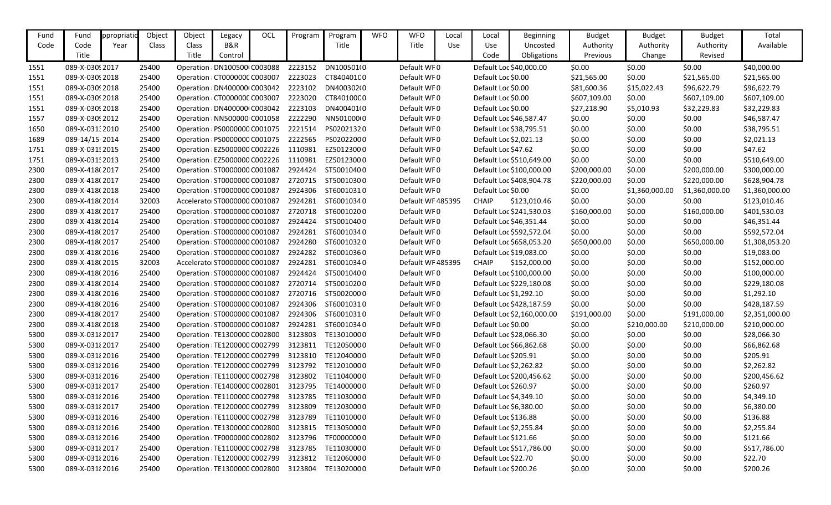| Fund | Fund            | ppropriatio | Object | Object                        | Legacy                        | OCL | Program | Program                                          | <b>WFO</b> | <b>WFO</b>        | Local | Local                | Beginning                  | <b>Budget</b> | <b>Budget</b>  | <b>Budget</b>  | Total          |
|------|-----------------|-------------|--------|-------------------------------|-------------------------------|-----|---------|--------------------------------------------------|------------|-------------------|-------|----------------------|----------------------------|---------------|----------------|----------------|----------------|
| Code | Code            | Year        | Class  | Class                         | B&R                           |     |         | Title                                            |            | Title             | Use   | Use                  | Uncosted                   | Authority     | Authority      | Authority      | Available      |
|      | Title           |             |        | Title                         | Control                       |     |         |                                                  |            |                   |       | Code                 | Obligations                | Previous      | Change         | Revised        |                |
| 1551 | 089-X-03092017  |             | 25400  |                               | Operation : DN100500 C003088  |     | 2223152 | DN100501(0                                       |            | Default WF0       |       |                      | Default Loc \$40,000.00    | \$0.00        | \$0.00         | \$0.00         | \$40,000.00    |
| 1551 | 089-X-0309 2018 |             | 25400  |                               | Operation : CT000000C C003007 |     | 2223023 | CT84040100                                       |            | Default WF0       |       | Default Loc \$0.00   |                            | \$21,565.00   | \$0.00         | \$21,565.00    | \$21,565.00    |
| 1551 | 089-X-0309 2018 |             | 25400  |                               | Operation : DN4000001 C003042 |     | 2223102 | DN400302(0                                       |            | Default WF0       |       | Default Loc \$0.00   |                            | \$81,600.36   | \$15,022.43    | \$96,622.79    | \$96,622.79    |
| 1551 | 089-X-03092018  |             | 25400  |                               | Operation : CT000000C C003007 |     | 2223020 | CT84010000                                       |            | Default WF0       |       | Default Loc \$0.00   |                            | \$607,109.00  | \$0.00         | \$607,109.00   | \$607,109.00   |
| 1551 | 089-X-0309 2018 |             | 25400  |                               | Operation : DN400000 C003042  |     | 2223103 | DN400401(0                                       |            | Default WF0       |       | Default Loc \$0.00   |                            | \$27,218.90   | \$5,010.93     | \$32,229.83    | \$32,229.83    |
| 1557 | 089-X-03092012  |             | 25400  |                               | Operation : NN500000 C001058  |     | 2222290 | NN50100000                                       |            | Default WF0       |       |                      | Default Loc \$46,587.47    | \$0.00        | \$0.00         | \$0.00         | \$46,587.47    |
| 1650 | 089-X-03132010  |             | 25400  |                               | Operation : PS0000000 C001075 |     | 2221514 | PS02021320                                       |            | Default WF0       |       |                      | Default Loc \$38,795.51    | \$0.00        | \$0.00         | \$0.00         | \$38,795.51    |
| 1689 | 089-14/15-2014  |             | 25400  |                               | Operation : PS0000000 C001075 |     | 2222565 | PS02022000                                       |            | Default WF0       |       |                      | Default Loc \$2,021.13     | \$0.00        | \$0.00         | \$0.00         | \$2,021.13     |
| 1751 | 089-X-0315      |             | 25400  |                               | Operation : EZ5000000 C002226 |     | 1110981 | EZ50123000                                       |            | Default WF0       |       | Default Loc \$47.62  |                            | \$0.00        | \$0.00         | \$0.00         | \$47.62        |
| 1751 | 089-X-0315 2013 |             | 25400  |                               | Operation : EZ5000000 C002226 |     | 1110981 | EZ50123000                                       |            | Default WF0       |       |                      | Default Loc \$510,649.00   | \$0.00        | \$0.00         | \$0.00         | \$510,649.00   |
| 2300 | 089-X-418(2017  |             | 25400  |                               | Operation : ST0000000 C001087 |     | 2924424 | ST50010400                                       |            | Default WF0       |       |                      | Default Loc \$100,000.00   | \$200,000.00  | \$0.00         | \$200,000.00   | \$300,000.00   |
| 2300 | 089-X-418(2017  |             | 25400  | Operation : ST0000000 C001087 |                               |     | 2720715 | ST50010300                                       |            | Default WF0       |       |                      | Default Loc \$408,904.78   | \$220,000.00  | \$0.00         | \$220,000.00   | \$628,904.78   |
| 2300 | 089-X-418(2018  |             | 25400  |                               | Operation : ST0000000 C001087 |     | 2924306 | ST60010310                                       |            | Default WF0       |       | Default Loc \$0.00   |                            | \$0.00        | \$1,360,000.00 | \$1,360,000.00 | \$1,360,000.00 |
| 2300 | 089-X-418(2014  |             | 32003  |                               | Accelerator ST0000000 C001087 |     | 2924281 | ST60010340                                       |            | Default WF 485395 |       | <b>CHAIP</b>         | \$123,010.46               | \$0.00        | \$0.00         | \$0.00         | \$123,010.46   |
| 2300 | 089-X-418(2017  |             | 25400  |                               | Operation : ST0000000 C001087 |     | 2720718 | ST60010200                                       |            | Default WF0       |       |                      | Default Loc \$241,530.03   | \$160,000.00  | \$0.00         | \$160,000.00   | \$401,530.03   |
| 2300 | 089-X-418(2014  |             | 25400  |                               | Operation : ST0000000 C001087 |     | 2924424 | ST50010400                                       |            | Default WF0       |       |                      | Default Loc \$46,351.44    | \$0.00        | \$0.00         | \$0.00         | \$46,351.44    |
| 2300 | 089-X-418(2017  |             | 25400  |                               | Operation : ST0000000 C001087 |     | 2924281 | ST60010340                                       |            | Default WF0       |       |                      | Default Loc \$592,572.04   | \$0.00        | \$0.00         | \$0.00         | \$592,572.04   |
| 2300 | 089-X-418(2017  |             | 25400  |                               | Operation : ST0000000 C001087 |     | 2924280 | ST60010320                                       |            | Default WF0       |       |                      | Default Loc \$658,053.20   | \$650,000.00  | \$0.00         | \$650,000.00   | \$1,308,053.20 |
| 2300 | 089-X-418(2016  |             | 25400  | Operation : ST0000000 C001087 |                               |     | 2924282 | ST60010360                                       |            | Default WF0       |       |                      | Default Loc \$19,083.00    | \$0.00        | \$0.00         | \$0.00         | \$19,083.00    |
| 2300 | 089-X-418(2015  |             | 32003  |                               | Accelerato ST0000000 C001087  |     | 2924281 | ST60010340                                       |            | Default WF 485395 |       | <b>CHAIP</b>         | \$152,000.00               | \$0.00        | \$0.00         | \$0.00         | \$152,000.00   |
| 2300 | 089-X-418(2016  |             | 25400  |                               | Operation : ST0000000 C001087 |     | 2924424 | ST50010400                                       |            | Default WF0       |       |                      | Default Loc \$100,000.00   | \$0.00        | \$0.00         | \$0.00         | \$100,000.00   |
| 2300 | 089-X-418(2014  |             | 25400  |                               | Operation : ST0000000 C001087 |     | 2720714 | ST50010200                                       |            | Default WF0       |       |                      | Default Loc \$229,180.08   | \$0.00        | \$0.00         | \$0.00         | \$229,180.08   |
| 2300 | 089-X-418(2016  |             | 25400  |                               | Operation : ST0000000 C001087 |     | 2720716 | ST50020000                                       |            | Default WF0       |       |                      | Default Loc \$1,292.10     | \$0.00        | \$0.00         | \$0.00         | \$1,292.10     |
| 2300 | 089-X-418(2016  |             | 25400  |                               | Operation : ST0000000 C001087 |     | 2924306 | ST60010310                                       |            | Default WF0       |       |                      | Default Loc \$428,187.59   | \$0.00        | \$0.00         | \$0.00         | \$428,187.59   |
| 2300 | 089-X-418(2017  |             | 25400  |                               | Operation : ST0000000 C001087 |     | 2924306 | ST60010310                                       |            | Default WF0       |       |                      | Default Loc \$2,160,000.00 | \$191,000.00  | \$0.00         | \$191,000.00   | \$2,351,000.00 |
| 2300 | 089-X-418(2018  |             | 25400  |                               | Operation : ST0000000 C001087 |     | 2924281 | ST60010340                                       |            | Default WF0       |       | Default Loc \$0.00   |                            | \$0.00        | \$210,000.00   | \$210,000.00   | \$210,000.00   |
| 5300 | 089-X-031 {2017 |             | 25400  |                               | Operation : TE1300000 C002800 |     | 3123803 | TE13010000                                       |            | Default WF0       |       |                      | Default Loc \$28,066.30    | \$0.00        | \$0.00         | \$0.00         | \$28,066.30    |
| 5300 | 089-X-031 2017  |             | 25400  |                               | Operation : TE1200000 C002799 |     | 3123811 | TE12050000                                       |            | Default WF0       |       |                      | Default Loc \$66,862.68    | \$0.00        | \$0.00         | \$0.00         | \$66,862.68    |
| 5300 | 089-X-03182016  |             | 25400  |                               | Operation : TE1200000 C002799 |     | 3123810 | TE12040000                                       |            | Default WF0       |       | Default Loc \$205.91 |                            | \$0.00        | \$0.00         | \$0.00         | \$205.91       |
| 5300 | 089-X-03182016  |             | 25400  |                               | Operation : TE1200000 C002799 |     | 3123792 | TE12010000                                       |            | Default WF0       |       |                      | Default Loc \$2,262.82     | \$0.00        | \$0.00         | \$0.00         | \$2,262.82     |
| 5300 | 089-X-03182016  |             | 25400  |                               | Operation : TE1100000 C002798 |     | 3123802 | TE11040000                                       |            | Default WF0       |       |                      | Default Loc \$200,456.62   | \$0.00        | \$0.00         | \$0.00         | \$200,456.62   |
| 5300 | 089-X-031 {2017 |             | 25400  |                               | Operation : TE1400000 C002801 |     | 3123795 | TE14000000                                       |            | Default WF0       |       | Default Loc \$260.97 |                            | \$0.00        | \$0.00         | \$0.00         | \$260.97       |
| 5300 | 089-X-03182016  |             | 25400  |                               | Operation : TE1100000 C002798 |     | 3123785 | TE11030000                                       |            | Default WF0       |       |                      | Default Loc \$4,349.10     | \$0.00        | \$0.00         | \$0.00         | \$4,349.10     |
| 5300 | 089-X-031 {2017 |             | 25400  |                               | Operation : TE1200000 C002799 |     | 3123809 | TE12030000                                       |            | Default WF0       |       |                      | Default Loc \$6,380.00     | \$0.00        | \$0.00         | \$0.00         | \$6,380.00     |
| 5300 | 089-X-031 2016  |             | 25400  |                               | Operation : TE1100000 C002798 |     | 3123789 | TE11010000                                       |            | Default WF0       |       | Default Loc \$136.88 |                            | \$0.00        | \$0.00         | \$0.00         | \$136.88       |
| 5300 | 089-X-03182016  |             | 25400  |                               | Operation : TE1300000 C002800 |     | 3123815 | TE13050000                                       |            | Default WF0       |       |                      | Default Loc \$2,255.84     | \$0.00        | \$0.00         | \$0.00         | \$2,255.84     |
| 5300 | 089-X-031 2016  |             | 25400  |                               | Operation : TF0000000 C002802 |     | 3123796 | TF00000000                                       |            | Default WF0       |       | Default Loc \$121.66 |                            | \$0.00        | \$0.00         | \$0.00         | \$121.66       |
| 5300 | 089-X-031 {2017 |             | 25400  |                               | Operation : TE1100000 C002798 |     | 3123785 | TE11030000                                       |            | Default WF0       |       |                      | Default Loc \$517,786.00   | \$0.00        | \$0.00         | \$0.00         | \$517,786.00   |
| 5300 | 089-X-03182016  |             | 25400  |                               | Operation : TE1200000 C002799 |     | 3123812 | TE12060000                                       |            | Default WF0       |       | Default Loc \$22.70  |                            | \$0.00        | \$0.00         | \$0.00         | \$22.70        |
| 5300 | 089-X-031 2016  |             | 25400  |                               |                               |     |         | Operation: TE1300000 C002800 3123804 TE1302000 0 |            | Default WF0       |       | Default Loc \$200.26 |                            | \$0.00        | \$0.00         | \$0.00         | \$200.26       |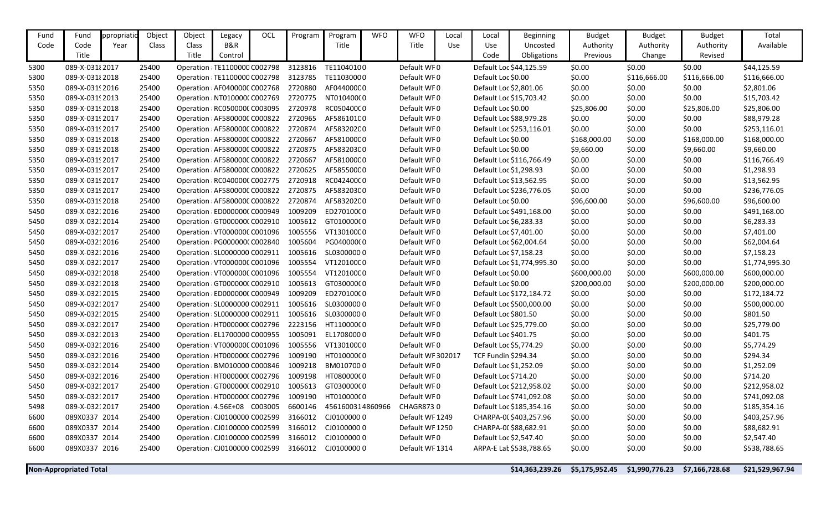| Fund         | Fund                             | ppropriatio | Object         | Object                                                        | Legacy  | OCL | Program            | Program                 | <b>WFO</b> | <b>WFO</b>                       | Local | Local                                                | <b>Beginning</b>           | <b>Budget</b>    | <b>Budget</b>    | <b>Budget</b>    | Total                  |
|--------------|----------------------------------|-------------|----------------|---------------------------------------------------------------|---------|-----|--------------------|-------------------------|------------|----------------------------------|-------|------------------------------------------------------|----------------------------|------------------|------------------|------------------|------------------------|
| Code         | Code                             | Year        | Class          | Class                                                         | B&R     |     |                    | Title                   |            | Title                            | Use   | Use                                                  | Uncosted                   | Authority        | Authority        | Authority        | Available              |
|              | Title                            |             |                | Title                                                         | Control |     |                    |                         |            |                                  |       | Code                                                 | Obligations                | Previous         | Change           | Revised          |                        |
| 5300         | 089-X-03182017                   |             | 25400          | Operation : TE1100000 C002798                                 |         |     | 3123816            | TE11040100              |            | Default WF0                      |       |                                                      | Default Loc \$44,125.59    | \$0.00           | \$0.00           | \$0.00           | \$44,125.59            |
| 5300         | 089-X-031 {2018                  |             | 25400          | Operation : TE1100000 C002798                                 |         |     | 3123785            | TE11030000              |            | Default WF0                      |       | Default Loc \$0.00                                   |                            | \$0.00           | \$116,666.00     | \$116,666.00     | \$116,666.00           |
| 5350         | 089-X-03192016                   |             | 25400          | Operation : AF040000C C002768                                 |         |     | 2720880            | AF044000C0              |            | Default WF0                      |       | Default Loc \$2,801.06                               |                            | \$0.00           | \$0.00           | \$0.00           | \$2,801.06             |
| 5350         | 089-X-0319 2013                  |             | 25400          | Operation : NT010000(C002769                                  |         |     | 2720775            | NT01040000              |            | Default WF0                      |       |                                                      | Default Loc \$15,703.42    | \$0.00           | \$0.00           | \$0.00           | \$15,703.42            |
| 5350         | 089-X-03192018                   |             | 25400          | Operation : RC050000C C003095                                 |         |     | 2720978            | RC05040000              |            | Default WF0                      |       | Default Loc \$0.00                                   |                            | \$25,806.00      | \$0.00           | \$25,806.00      | \$25,806.00            |
| 5350         | 089-X-03192017                   |             | 25400          | Operation : AF580000C C000822                                 |         |     | 2720965            | AF58610100              |            | Default WF0                      |       |                                                      | Default Loc \$88,979.28    | \$0.00           | \$0.00           | \$0.00           | \$88,979.28            |
| 5350         | 089-X-03192017                   |             | 25400          | Operation : AF580000C C000822                                 |         |     | 2720874            | AF58320200              |            | Default WF0                      |       |                                                      | Default Loc \$253,116.01   | \$0.00           | \$0.00           | \$0.00           | \$253,116.01           |
| 5350         | 089-X-03192018                   |             | 25400          | Operation : AF580000C C000822                                 |         |     | 2720667            | AF581000C0              |            | Default WF0                      |       | Default Loc \$0.00                                   |                            | \$168,000.00     | \$0.00           | \$168,000.00     | \$168,000.00           |
| 5350         | 089-X-03192018                   |             | 25400          | Operation : AF580000C C000822                                 |         |     | 2720875            | AF58320300              |            | Default WF0                      |       | Default Loc \$0.00                                   |                            | \$9,660.00       | \$0.00           | \$9,660.00       | \$9,660.00             |
| 5350         | 089-X-03192017                   |             | 25400          | Operation : AF580000C C000822                                 |         |     | 2720667            | AF581000C0              |            | Default WF0                      |       |                                                      | Default Loc \$116,766.49   | \$0.00           | \$0.00           | \$0.00           | \$116,766.49           |
| 5350         | 089-X-03192017                   |             | 25400          | Operation : AF580000C C000822                                 |         |     | 2720625            | AF58550000              |            | Default WF0                      |       | Default Loc \$1,298.93                               |                            | \$0.00           | \$0.00           | \$0.00           | \$1,298.93             |
| 5350         | 089-X-03192017                   |             | 25400          | Operation : RC040000C C002775                                 |         |     | 2720918            | RC04240000              |            | Default WF0                      |       |                                                      | Default Loc \$13,562.95    | \$0.00           | \$0.00           | \$0.00           | \$13,562.95            |
| 5350         | 089-X-0319 2017                  |             | 25400          | Operation : AF580000C C000822                                 |         |     | 2720875            | AF58320300              |            | Default WF0                      |       |                                                      | Default Loc \$236,776.05   | \$0.00           | \$0.00           | \$0.00           | \$236,776.05           |
| 5350         | 089-X-03192018                   |             | 25400          | Operation : AF580000C C000822                                 |         |     | 2720874            | AF58320200              |            | Default WF0                      |       | Default Loc \$0.00                                   |                            | \$96,600.00      | \$0.00           | \$96,600.00      | \$96,600.00            |
| 5450         | 089-X-03212016                   |             | 25400          | Operation : ED0000000 C000949                                 |         |     | 1009209            | ED27010000              |            | Default WF0                      |       |                                                      | Default Loc \$491,168.00   | \$0.00           | \$0.00           | \$0.00           | \$491,168.00           |
| 5450         | 089-X-03212014                   |             | 25400          | Operation : GT000000C C002910                                 |         |     | 1005612            | GT01000000              |            | Default WF0                      |       | Default Loc \$6,283.33                               |                            | \$0.00           | \$0.00           | \$0.00           | \$6,283.33             |
| 5450         | 089-X-03212017                   |             | 25400          | Operation: VT000000C C001096                                  |         |     | 1005556            | VT130100C0              |            | Default WF0                      |       | Default Loc \$7,401.00                               |                            | \$0.00           | \$0.00           | \$0.00           | \$7,401.00             |
| 5450         | 089-X-03212016                   |             | 25400          | Operation : PG0000000 C002840                                 |         |     | 1005604            | PG04000000              |            | Default WF0                      |       | Default Loc \$62,004.64                              |                            | \$0.00           | \$0.00           | \$0.00           | \$62,004.64            |
| 5450         | 089-X-03212016                   |             | 25400          | Operation : SL0000000 C002911                                 |         |     | 1005616            | SL03000000              |            | Default WF0                      |       | Default Loc \$7,158.23                               |                            | \$0.00           | \$0.00           | \$0.00           | \$7,158.23             |
| 5450         | 089-X-03212017                   |             | 25400          | Operation : VT000000C C001096                                 |         |     | 1005554            | VT12010000              |            | Default WF0                      |       |                                                      | Default Loc \$1,774,995.30 | \$0.00           | \$0.00           | \$0.00           | \$1,774,995.30         |
| 5450         | 089-X-03212018                   |             | 25400          | Operation : VT000000C C001096                                 |         |     | 1005554            | VT12010000              |            | Default WF0                      |       | Default Loc \$0.00                                   |                            | \$600,000.00     | \$0.00           | \$600,000.00     | \$600,000.00           |
| 5450         | 089-X-03212018                   |             | 25400          | Operation : GT0000000 C002910                                 |         |     | 1005613            | GT03000000              |            | Default WF0                      |       | Default Loc \$0.00                                   |                            | \$200,000.00     | \$0.00           | \$200,000.00     | \$200,000.00           |
| 5450         | 089-X-03212015                   |             | 25400          | Operation : ED0000000 C000949                                 |         |     | 1009209            | ED27010000              |            | Default WF0                      |       |                                                      | Default Loc \$172,184.72   | \$0.00           | \$0.00           | \$0.00           | \$172,184.72           |
| 5450         | 089-X-03212017                   |             | 25400          | Operation : SL0000000 C002911                                 |         |     | 1005616            | SL03000000              |            | Default WF0                      |       |                                                      | Default Loc \$500,000.00   | \$0.00           | \$0.00           | \$0.00           | \$500,000.00           |
| 5450         | 089-X-03212015                   |             | 25400          | Operation : SL0000000 C002911                                 |         |     | 1005616            | SL03000000              |            | Default WF0                      |       | Default Loc \$801.50                                 |                            | \$0.00           | \$0.00           | \$0.00           | \$801.50               |
| 5450         | 089-X-03212017                   |             | 25400          | Operation : HT0000000 C002796                                 |         |     | 2223156            | HT11000000              |            | Default WF0                      |       |                                                      | Default Loc \$25,779.00    | \$0.00           | \$0.00           | \$0.00           | \$25,779.00            |
| 5450         | 089-X-03212013                   |             | 25400          | Operation : EL1700000 C000955                                 |         |     | 1005091            | EL17080000              |            | Default WF0                      |       | Default Loc \$401.75                                 |                            | \$0.00           | \$0.00           | \$0.00           | \$401.75               |
| 5450         | 089-X-03212016                   |             | 25400          | Operation: VT000000C C001096                                  |         |     | 1005556            | VT130100C0              |            | Default WF0                      |       | Default Loc \$5,774.29<br><b>TCF Fundin \$294.34</b> |                            | \$0.00           | \$0.00           | \$0.00           | \$5,774.29             |
| 5450<br>5450 | 089-X-03212016<br>089-X-03212014 |             | 25400<br>25400 | Operation : HT000000C C002796<br>Operation : BM010000 C000846 |         |     | 1009190<br>1009218 | HT01000000<br>BM0107000 |            | Default WF 302017<br>Default WF0 |       | Default Loc \$1,252.09                               |                            | \$0.00<br>\$0.00 | \$0.00<br>\$0.00 | \$0.00<br>\$0.00 | \$294.34<br>\$1,252.09 |
| 5450         | 089-X-03212016                   |             | 25400          | Operation : HT0000000 C002796                                 |         |     | 1009198            | HT08000000              |            | Default WF0                      |       | Default Loc \$714.20                                 |                            | \$0.00           | \$0.00           | \$0.00           | \$714.20               |
| 5450         | 089-X-03212017                   |             | 25400          | Operation : GT0000000 C002910                                 |         |     | 1005613            | GT03000000              |            | Default WF0                      |       |                                                      | Default Loc \$212,958.02   | \$0.00           | \$0.00           | \$0.00           | \$212,958.02           |
| 5450         | 089-X-03212017                   |             | 25400          | Operation : HT0000000 C002796                                 |         |     | 1009190            | HT01000000              |            | Default WF0                      |       |                                                      | Default Loc \$741,092.08   | \$0.00           | \$0.00           | \$0.00           | \$741,092.08           |
| 5498         | 089-X-03212017                   |             | 25400          | Operation : 4.56E+08 C003005                                  |         |     | 6600146            | 4561600314860966        |            | CHAGR8730                        |       |                                                      | Default Loc \$185,354.16   | \$0.00           | \$0.00           | \$0.00           | \$185,354.16           |
| 6600         | 089X0337 2014                    |             | 25400          | Operation : CJ0100000 C002599                                 |         |     | 3166012            | CJ01000000              |            | Default WF 1249                  |       |                                                      | CHARPA-00 \$403,257.96     | \$0.00           | \$0.00           | \$0.00           | \$403,257.96           |
| 6600         | 089X0337 2014                    |             | 25400          | Operation : CJ0100000 C002599                                 |         |     | 3166012            | CJ01000000              |            | Default WF 1250                  |       | CHARPA-00 \$88,682.91                                |                            | \$0.00           | \$0.00           | \$0.00           | \$88,682.91            |
| 6600         | 089X0337 2014                    |             | 25400          | Operation : CJ0100000 C002599                                 |         |     | 3166012            | CJ01000000              |            | Default WF0                      |       | Default Loc \$2,547.40                               |                            | \$0.00           | \$0.00           | \$0.00           | \$2,547.40             |
| 6600         | 089X0337 2016                    |             | 25400          | Operation : CJ0100000 C002599                                 |         |     | 3166012            | CJ01000000              |            | Default WF 1314                  |       |                                                      | ARPA-E Lat \$538,788.65    | \$0.00           | \$0.00           | \$0.00           | \$538,788.65           |
|              |                                  |             |                |                                                               |         |     |                    |                         |            |                                  |       |                                                      |                            |                  |                  |                  |                        |
|              | <b>Non-Appropriated Total</b>    |             |                |                                                               |         |     |                    |                         |            |                                  |       |                                                      | \$14,363,239.26            | \$5,175,952.45   | \$1,990,776.23   | \$7,166,728.68   | \$21,529,967.94        |